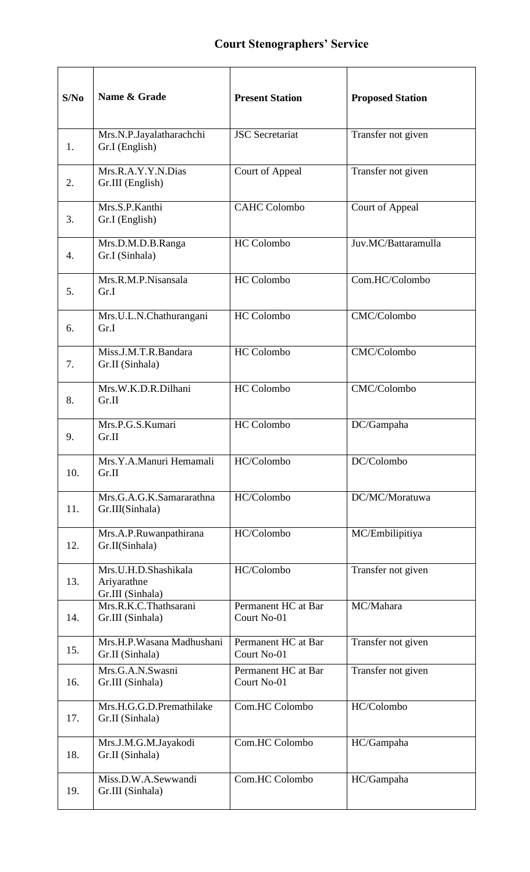| S/No | Name & Grade                                            | <b>Present Station</b>             | <b>Proposed Station</b> |
|------|---------------------------------------------------------|------------------------------------|-------------------------|
| 1.   | Mrs.N.P.Jayalatharachchi<br>Gr.I (English)              | <b>JSC</b> Secretariat             | Transfer not given      |
| 2.   | Mrs.R.A.Y.Y.N.Dias<br>Gr.III (English)                  | Court of Appeal                    | Transfer not given      |
| 3.   | Mrs.S.P.Kanthi<br>Gr.I (English)                        | <b>CAHC Colombo</b>                | Court of Appeal         |
| 4.   | Mrs.D.M.D.B.Ranga<br>Gr.I (Sinhala)                     | <b>HC</b> Colombo                  | Juv.MC/Battaramulla     |
| 5.   | Mrs.R.M.P.Nisansala<br>Gr.I                             | <b>HC</b> Colombo                  | Com.HC/Colombo          |
| 6.   | Mrs.U.L.N.Chathurangani<br>Gr.I                         | <b>HC</b> Colombo                  | CMC/Colombo             |
| 7.   | Miss.J.M.T.R.Bandara<br>Gr.II (Sinhala)                 | <b>HC</b> Colombo                  | CMC/Colombo             |
| 8.   | Mrs.W.K.D.R.Dilhani<br>Gr.II                            | HC Colombo                         | CMC/Colombo             |
| 9.   | Mrs.P.G.S.Kumari<br>Gr.II                               | <b>HC</b> Colombo                  | DC/Gampaha              |
| 10.  | Mrs.Y.A.Manuri Hemamali<br>Gr.II                        | HC/Colombo                         | DC/Colombo              |
| 11.  | Mrs.G.A.G.K.Samararathna<br>Gr.III(Sinhala)             | HC/Colombo                         | DC/MC/Moratuwa          |
| 12.  | Mrs.A.P.Ruwanpathirana<br>Gr.II(Sinhala)                | HC/Colombo                         | MC/Embilipitiya         |
| 13.  | Mrs.U.H.D.Shashikala<br>Ariyarathne<br>Gr.III (Sinhala) | HC/Colombo                         | Transfer not given      |
| 14.  | Mrs.R.K.C.Thathsarani<br>Gr.III (Sinhala)               | Permanent HC at Bar<br>Court No-01 | MC/Mahara               |
| 15.  | Mrs.H.P.Wasana Madhushani<br>Gr.II (Sinhala)            | Permanent HC at Bar<br>Court No-01 | Transfer not given      |
| 16.  | Mrs.G.A.N.Swasni<br>Gr.III (Sinhala)                    | Permanent HC at Bar<br>Court No-01 | Transfer not given      |
| 17.  | Mrs.H.G.G.D.Premathilake<br>Gr.II (Sinhala)             | Com.HC Colombo                     | HC/Colombo              |
| 18.  | Mrs.J.M.G.M.Jayakodi<br>Gr.II (Sinhala)                 | Com.HC Colombo                     | HC/Gampaha              |
| 19.  | Miss.D.W.A.Sewwandi<br>Gr.III (Sinhala)                 | Com.HC Colombo                     | HC/Gampaha              |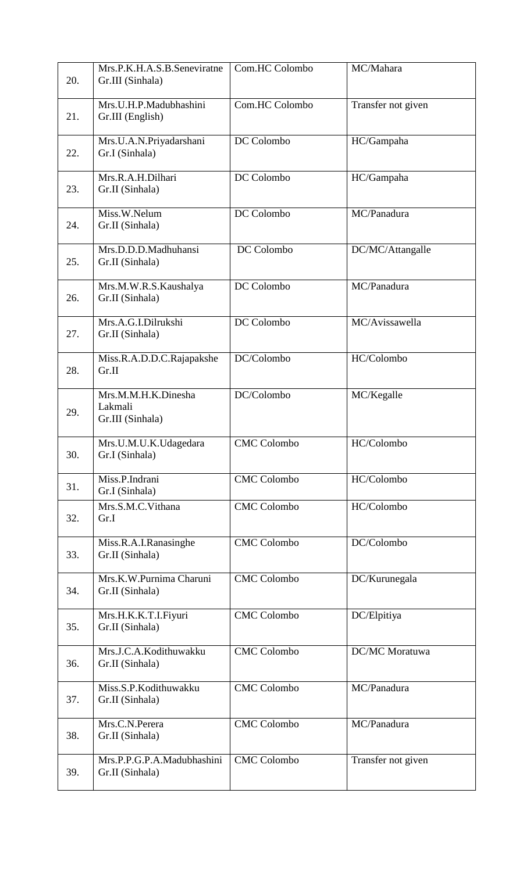| 20. | Mrs.P.K.H.A.S.B.Seneviratne<br>Gr.III (Sinhala)    | Com.HC Colombo     | MC/Mahara          |
|-----|----------------------------------------------------|--------------------|--------------------|
| 21. | Mrs.U.H.P.Madubhashini<br>Gr.III (English)         | Com.HC Colombo     | Transfer not given |
| 22. | Mrs.U.A.N.Priyadarshani<br>Gr.I (Sinhala)          | DC Colombo         | HC/Gampaha         |
| 23. | Mrs.R.A.H.Dilhari<br>Gr.II (Sinhala)               | DC Colombo         | HC/Gampaha         |
| 24. | Miss.W.Nelum<br>Gr.II (Sinhala)                    | DC Colombo         | MC/Panadura        |
| 25. | Mrs.D.D.D.Madhuhansi<br>Gr.II (Sinhala)            | DC Colombo         | DC/MC/Attangalle   |
| 26. | Mrs.M.W.R.S.Kaushalya<br>Gr.II (Sinhala)           | DC Colombo         | MC/Panadura        |
| 27. | Mrs.A.G.I.Dilrukshi<br>Gr.II (Sinhala)             | DC Colombo         | MC/Avissawella     |
| 28. | Miss.R.A.D.D.C.Rajapakshe<br>Gr.II                 | DC/Colombo         | HC/Colombo         |
| 29. | Mrs.M.M.H.K.Dinesha<br>Lakmali<br>Gr.III (Sinhala) | DC/Colombo         | MC/Kegalle         |
| 30. | Mrs.U.M.U.K.Udagedara<br>Gr.I (Sinhala)            | <b>CMC</b> Colombo | HC/Colombo         |
| 31. | Miss.P.Indrani<br>Gr.I (Sinhala)                   | <b>CMC</b> Colombo | HC/Colombo         |
| 32. | Mrs.S.M.C.Vithana<br>Gr.I                          | <b>CMC</b> Colombo | HC/Colombo         |
| 33. | Miss.R.A.I.Ranasinghe<br>Gr.II (Sinhala)           | <b>CMC Colombo</b> | DC/Colombo         |
| 34. | Mrs.K.W.Purnima Charuni<br>Gr.II (Sinhala)         | <b>CMC</b> Colombo | DC/Kurunegala      |
| 35. | Mrs.H.K.K.T.I.Fiyuri<br>Gr.II (Sinhala)            | <b>CMC</b> Colombo | DC/Elpitiya        |
| 36. | Mrs.J.C.A.Kodithuwakku<br>Gr.II (Sinhala)          | <b>CMC</b> Colombo | DC/MC Moratuwa     |
| 37. | Miss.S.P.Kodithuwakku<br>Gr.II (Sinhala)           | <b>CMC</b> Colombo | MC/Panadura        |
| 38. | Mrs.C.N.Perera<br>Gr.II (Sinhala)                  | <b>CMC</b> Colombo | MC/Panadura        |
| 39. | Mrs.P.P.G.P.A.Madubhashini<br>Gr.II (Sinhala)      | <b>CMC Colombo</b> | Transfer not given |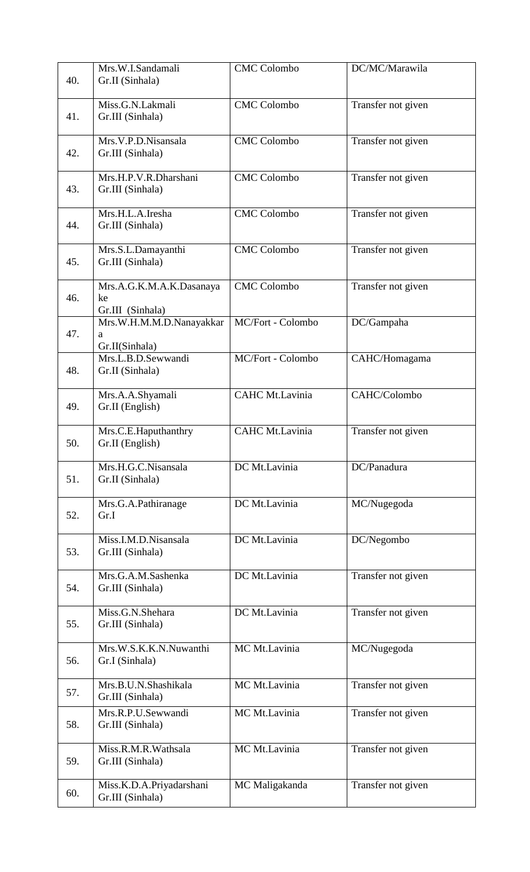| 40. | Mrs.W.I.Sandamali<br>Gr.II (Sinhala)               | <b>CMC</b> Colombo | DC/MC/Marawila     |
|-----|----------------------------------------------------|--------------------|--------------------|
| 41. | Miss.G.N.Lakmali<br>Gr.III (Sinhala)               | <b>CMC</b> Colombo | Transfer not given |
| 42. | Mrs.V.P.D.Nisansala<br>Gr.III (Sinhala)            | <b>CMC</b> Colombo | Transfer not given |
| 43. | Mrs.H.P.V.R.Dharshani<br>Gr.III (Sinhala)          | <b>CMC Colombo</b> | Transfer not given |
| 44. | Mrs.H.L.A.Iresha<br>Gr.III (Sinhala)               | <b>CMC</b> Colombo | Transfer not given |
| 45. | Mrs.S.L.Damayanthi<br>Gr.III (Sinhala)             | <b>CMC Colombo</b> | Transfer not given |
| 46. | Mrs.A.G.K.M.A.K.Dasanaya<br>ke<br>Gr.III (Sinhala) | <b>CMC</b> Colombo | Transfer not given |
| 47. | Mrs.W.H.M.M.D.Nanayakkar<br>a<br>Gr.II(Sinhala)    | MC/Fort - Colombo  | DC/Gampaha         |
| 48. | Mrs.L.B.D.Sewwandi<br>Gr.II (Sinhala)              | MC/Fort - Colombo  | CAHC/Homagama      |
| 49. | Mrs.A.A.Shyamali<br>Gr.II (English)                | CAHC Mt.Lavinia    | CAHC/Colombo       |
| 50. | Mrs.C.E.Haputhanthry<br>Gr.II (English)            | CAHC Mt.Lavinia    | Transfer not given |
| 51. | Mrs.H.G.C.Nisansala<br>Gr.II (Sinhala)             | DC Mt.Lavinia      | DC/Panadura        |
| 52. | Mrs.G.A.Pathiranage<br>Gr.I                        | DC Mt.Lavinia      | MC/Nugegoda        |
| 53. | Miss.I.M.D.Nisansala<br>Gr.III (Sinhala)           | DC Mt.Lavinia      | DC/Negombo         |
| 54. | Mrs.G.A.M.Sashenka<br>Gr.III (Sinhala)             | DC Mt.Lavinia      | Transfer not given |
| 55. | Miss.G.N.Shehara<br>Gr.III (Sinhala)               | DC Mt.Lavinia      | Transfer not given |
| 56. | Mrs.W.S.K.K.N.Nuwanthi<br>Gr.I (Sinhala)           | MC Mt.Lavinia      | MC/Nugegoda        |
| 57. | Mrs.B.U.N.Shashikala<br>Gr.III (Sinhala)           | MC Mt.Lavinia      | Transfer not given |
| 58. | Mrs.R.P.U.Sewwandi<br>Gr.III (Sinhala)             | MC Mt.Lavinia      | Transfer not given |
| 59. | Miss.R.M.R.Wathsala<br>Gr.III (Sinhala)            | MC Mt.Lavinia      | Transfer not given |
| 60. | Miss.K.D.A.Priyadarshani<br>Gr.III (Sinhala)       | MC Maligakanda     | Transfer not given |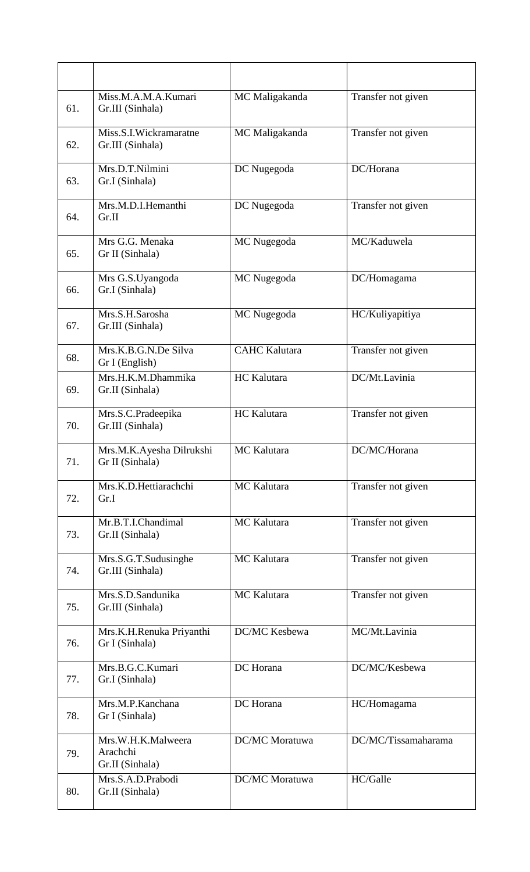| 61. | Miss.M.A.M.A.Kumari<br>Gr.III (Sinhala)           | MC Maligakanda       | Transfer not given  |
|-----|---------------------------------------------------|----------------------|---------------------|
| 62. | Miss.S.I.Wickramaratne<br>Gr.III (Sinhala)        | MC Maligakanda       | Transfer not given  |
| 63. | Mrs.D.T.Nilmini<br>Gr.I (Sinhala)                 | DC Nugegoda          | DC/Horana           |
| 64. | Mrs.M.D.I.Hemanthi<br>Gr.II                       | DC Nugegoda          | Transfer not given  |
| 65. | Mrs G.G. Menaka<br>Gr II (Sinhala)                | MC Nugegoda          | MC/Kaduwela         |
| 66. | Mrs G.S.Uyangoda<br>Gr.I (Sinhala)                | MC Nugegoda          | DC/Homagama         |
| 67. | Mrs.S.H.Sarosha<br>Gr.III (Sinhala)               | MC Nugegoda          | HC/Kuliyapitiya     |
| 68. | Mrs.K.B.G.N.De Silva<br>Gr I (English)            | <b>CAHC Kalutara</b> | Transfer not given  |
| 69. | Mrs.H.K.M.Dhammika<br>Gr.II (Sinhala)             | HC Kalutara          | DC/Mt.Lavinia       |
| 70. | Mrs.S.C.Pradeepika<br>Gr.III (Sinhala)            | HC Kalutara          | Transfer not given  |
| 71. | Mrs.M.K.Ayesha Dilrukshi<br>Gr II (Sinhala)       | MC Kalutara          | DC/MC/Horana        |
| 72. | Mrs.K.D.Hettiarachchi<br>Gr.I                     | MC Kalutara          | Transfer not given  |
| 73. | Mr.B.T.I.Chandimal<br>Gr.II (Sinhala)             | MC Kalutara          | Transfer not given  |
| 74. | Mrs.S.G.T.Sudusinghe<br>Gr.III (Sinhala)          | MC Kalutara          | Transfer not given  |
| 75. | Mrs.S.D.Sandunika<br>Gr.III (Sinhala)             | MC Kalutara          | Transfer not given  |
| 76. | Mrs.K.H.Renuka Priyanthi<br>Gr I (Sinhala)        | DC/MC Kesbewa        | MC/Mt.Lavinia       |
| 77. | Mrs.B.G.C.Kumari<br>Gr.I (Sinhala)                | DC Horana            | DC/MC/Kesbewa       |
| 78. | Mrs.M.P.Kanchana<br>Gr I (Sinhala)                | DC Horana            | HC/Homagama         |
| 79. | Mrs.W.H.K.Malweera<br>Arachchi<br>Gr.II (Sinhala) | DC/MC Moratuwa       | DC/MC/Tissamaharama |
| 80. | Mrs.S.A.D.Prabodi<br>Gr.II (Sinhala)              | DC/MC Moratuwa       | HC/Galle            |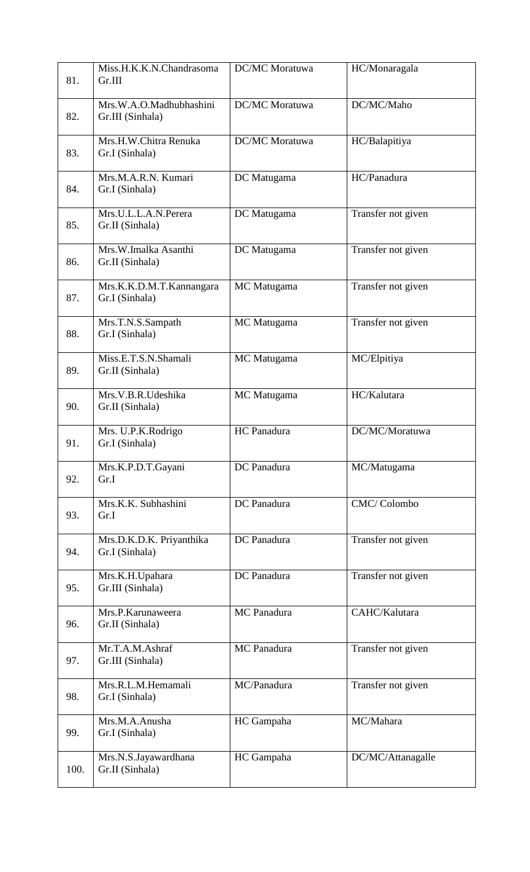| 81.  | Miss.H.K.K.N.Chandrasoma<br>Gr.III          | DC/MC Moratuwa        | HC/Monaragala      |
|------|---------------------------------------------|-----------------------|--------------------|
| 82.  | Mrs.W.A.O.Madhubhashini<br>Gr.III (Sinhala) | <b>DC/MC</b> Moratuwa | DC/MC/Maho         |
| 83.  | Mrs.H.W.Chitra Renuka<br>Gr.I (Sinhala)     | DC/MC Moratuwa        | HC/Balapitiya      |
| 84.  | Mrs.M.A.R.N. Kumari<br>Gr.I (Sinhala)       | DC Matugama           | HC/Panadura        |
| 85.  | Mrs.U.L.L.A.N.Perera<br>Gr.II (Sinhala)     | DC Matugama           | Transfer not given |
| 86.  | Mrs.W.Imalka Asanthi<br>Gr.II (Sinhala)     | DC Matugama           | Transfer not given |
| 87.  | Mrs.K.K.D.M.T.Kannangara<br>Gr.I (Sinhala)  | MC Matugama           | Transfer not given |
| 88.  | Mrs.T.N.S.Sampath<br>Gr.I (Sinhala)         | MC Matugama           | Transfer not given |
| 89.  | Miss.E.T.S.N.Shamali<br>Gr.II (Sinhala)     | MC Matugama           | MC/Elpitiya        |
| 90.  | Mrs.V.B.R.Udeshika<br>Gr.II (Sinhala)       | MC Matugama           | HC/Kalutara        |
| 91.  | Mrs. U.P.K.Rodrigo<br>Gr.I (Sinhala)        | HC Panadura           | DC/MC/Moratuwa     |
| 92.  | Mrs.K.P.D.T.Gayani<br>Gr.I                  | DC Panadura           | MC/Matugama        |
| 93.  | Mrs.K.K. Subhashini<br>Gr.I                 | DC Panadura           | CMC/Colombo        |
| 94.  | Mrs.D.K.D.K. Priyanthika<br>Gr.I (Sinhala)  | DC Panadura           | Transfer not given |
| 95.  | Mrs.K.H.Upahara<br>Gr.III (Sinhala)         | DC Panadura           | Transfer not given |
| 96.  | Mrs.P.Karunaweera<br>Gr.II (Sinhala)        | MC Panadura           | CAHC/Kalutara      |
| 97.  | Mr.T.A.M.Ashraf<br>Gr.III (Sinhala)         | MC Panadura           | Transfer not given |
| 98.  | Mrs.R.L.M.Hemamali<br>Gr.I (Sinhala)        | MC/Panadura           | Transfer not given |
| 99.  | Mrs.M.A.Anusha<br>Gr.I (Sinhala)            | HC Gampaha            | MC/Mahara          |
| 100. | Mrs.N.S.Jayawardhana<br>Gr.II (Sinhala)     | HC Gampaha            | DC/MC/Attanagalle  |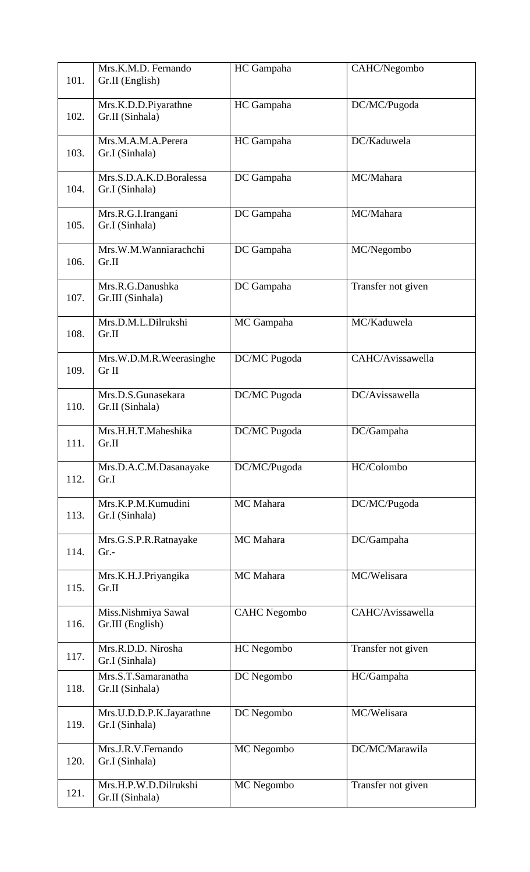| 101. | Mrs.K.M.D. Fernando<br>Gr.II (English)     | HC Gampaha          | CAHC/Negombo       |
|------|--------------------------------------------|---------------------|--------------------|
| 102. | Mrs.K.D.D.Piyarathne<br>Gr.II (Sinhala)    | HC Gampaha          | DC/MC/Pugoda       |
| 103. | Mrs.M.A.M.A.Perera<br>Gr.I (Sinhala)       | HC Gampaha          | DC/Kaduwela        |
| 104. | Mrs.S.D.A.K.D.Boralessa<br>Gr.I (Sinhala)  | DC Gampaha          | MC/Mahara          |
| 105. | Mrs.R.G.I.Irangani<br>Gr.I (Sinhala)       | DC Gampaha          | MC/Mahara          |
| 106. | Mrs.W.M.Wanniarachchi<br>Gr.II             | DC Gampaha          | MC/Negombo         |
| 107. | Mrs.R.G.Danushka<br>Gr.III (Sinhala)       | DC Gampaha          | Transfer not given |
| 108. | Mrs.D.M.L.Dilrukshi<br>Gr.II               | MC Gampaha          | MC/Kaduwela        |
| 109. | Mrs.W.D.M.R.Weerasinghe<br>Gr II           | DC/MC Pugoda        | CAHC/Avissawella   |
| 110. | Mrs.D.S.Gunasekara<br>Gr.II (Sinhala)      | DC/MC Pugoda        | DC/Avissawella     |
| 111. | Mrs.H.H.T.Maheshika<br>Gr.II               | DC/MC Pugoda        | DC/Gampaha         |
| 112. | Mrs.D.A.C.M.Dasanayake<br>Gr.I             | DC/MC/Pugoda        | HC/Colombo         |
| 113. | Mrs.K.P.M.Kumudini<br>Gr.I (Sinhala)       | MC Mahara           | DC/MC/Pugoda       |
| 114. | Mrs.G.S.P.R.Ratnayake<br>$Gr. -$           | MC Mahara           | DC/Gampaha         |
| 115. | Mrs.K.H.J.Priyangika<br>Gr.II              | MC Mahara           | MC/Welisara        |
| 116. | Miss.Nishmiya Sawal<br>Gr.III (English)    | <b>CAHC</b> Negombo | CAHC/Avissawella   |
| 117. | Mrs.R.D.D. Nirosha<br>Gr.I (Sinhala)       | HC Negombo          | Transfer not given |
| 118. | Mrs.S.T.Samaranatha<br>Gr.II (Sinhala)     | DC Negombo          | HC/Gampaha         |
| 119. | Mrs.U.D.D.P.K.Jayarathne<br>Gr.I (Sinhala) | DC Negombo          | MC/Welisara        |
| 120. | Mrs.J.R.V.Fernando<br>Gr.I (Sinhala)       | MC Negombo          | DC/MC/Marawila     |
| 121. | Mrs.H.P.W.D.Dilrukshi<br>Gr.II (Sinhala)   | MC Negombo          | Transfer not given |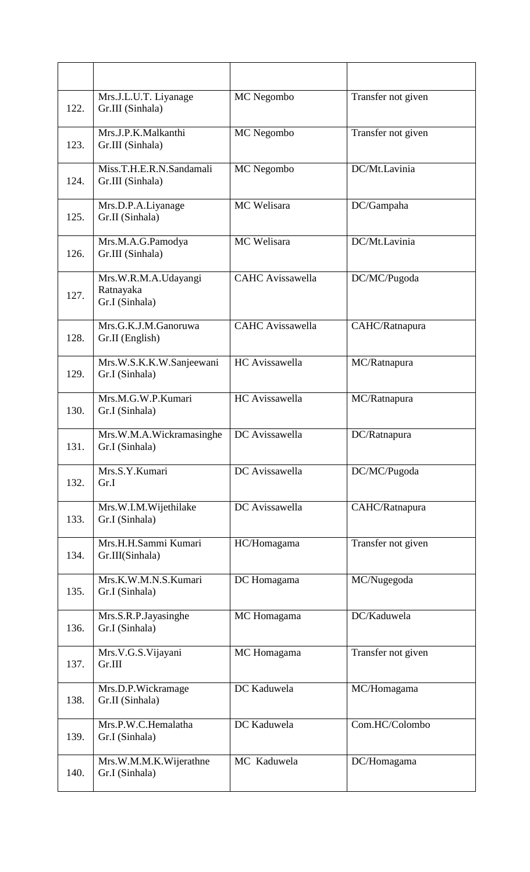| 122. | Mrs.J.L.U.T. Liyanage<br>Gr.III (Sinhala)           | MC Negombo              | Transfer not given |
|------|-----------------------------------------------------|-------------------------|--------------------|
| 123. | Mrs.J.P.K.Malkanthi<br>Gr.III (Sinhala)             | MC Negombo              | Transfer not given |
| 124. | Miss.T.H.E.R.N.Sandamali<br>Gr.III (Sinhala)        | MC Negombo              | DC/Mt.Lavinia      |
| 125. | Mrs.D.P.A.Liyanage<br>Gr.II (Sinhala)               | MC Welisara             | DC/Gampaha         |
| 126. | Mrs.M.A.G.Pamodya<br>Gr.III (Sinhala)               | MC Welisara             | DC/Mt.Lavinia      |
| 127. | Mrs.W.R.M.A.Udayangi<br>Ratnayaka<br>Gr.I (Sinhala) | <b>CAHC</b> Avissawella | DC/MC/Pugoda       |
| 128. | Mrs.G.K.J.M.Ganoruwa<br>Gr.II (English)             | <b>CAHC</b> Avissawella | CAHC/Ratnapura     |
| 129. | Mrs.W.S.K.K.W.Sanjeewani<br>Gr.I (Sinhala)          | HC Avissawella          | MC/Ratnapura       |
| 130. | Mrs.M.G.W.P.Kumari<br>Gr.I (Sinhala)                | HC Avissawella          | MC/Ratnapura       |
| 131. | Mrs.W.M.A.Wickramasinghe<br>Gr.I (Sinhala)          | DC Avissawella          | DC/Ratnapura       |
| 132. | Mrs.S.Y.Kumari<br>Gr.I                              | DC Avissawella          | DC/MC/Pugoda       |
| 133. | Mrs.W.I.M.Wijethilake<br>Gr.I (Sinhala)             | DC Avissawella          | CAHC/Ratnapura     |
| 134. | Mrs.H.H.Sammi Kumari<br>Gr.III(Sinhala)             | HC/Homagama             | Transfer not given |
| 135. | Mrs.K.W.M.N.S.Kumari<br>Gr.I (Sinhala)              | DC Homagama             | MC/Nugegoda        |
| 136. | Mrs.S.R.P.Jayasinghe<br>Gr.I (Sinhala)              | MC Homagama             | DC/Kaduwela        |
| 137. | Mrs.V.G.S.Vijayani<br>Gr.III                        | MC Homagama             | Transfer not given |
| 138. | Mrs.D.P.Wickramage<br>Gr.II (Sinhala)               | DC Kaduwela             | MC/Homagama        |
| 139. | Mrs.P.W.C.Hemalatha<br>Gr.I (Sinhala)               | DC Kaduwela             | Com.HC/Colombo     |
| 140. | Mrs.W.M.M.K.Wijerathne<br>Gr.I (Sinhala)            | MC Kaduwela             | DC/Homagama        |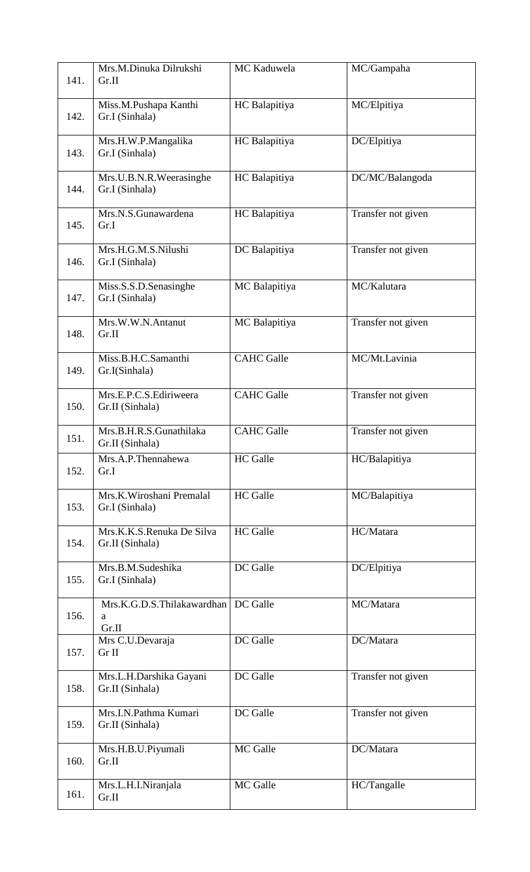| 141. | Mrs.M.Dinuka Dilrukshi<br>Gr.II              | MC Kaduwela       | MC/Gampaha         |
|------|----------------------------------------------|-------------------|--------------------|
| 142. | Miss.M.Pushapa Kanthi<br>Gr.I (Sinhala)      | HC Balapitiya     | MC/Elpitiya        |
| 143. | Mrs.H.W.P.Mangalika<br>Gr.I (Sinhala)        | HC Balapitiya     | DC/Elpitiya        |
| 144. | Mrs.U.B.N.R.Weerasinghe<br>Gr.I (Sinhala)    | HC Balapitiya     | DC/MC/Balangoda    |
| 145. | Mrs.N.S.Gunawardena<br>Gr.I                  | HC Balapitiya     | Transfer not given |
| 146. | Mrs.H.G.M.S.Nilushi<br>Gr.I (Sinhala)        | DC Balapitiya     | Transfer not given |
| 147. | Miss.S.S.D.Senasinghe<br>Gr.I (Sinhala)      | MC Balapitiya     | MC/Kalutara        |
| 148. | Mrs.W.W.N.Antanut<br>Gr.II                   | MC Balapitiya     | Transfer not given |
| 149. | Miss.B.H.C.Samanthi<br>Gr.I(Sinhala)         | <b>CAHC</b> Galle | MC/Mt.Lavinia      |
| 150. | Mrs.E.P.C.S.Ediriweera<br>Gr.II (Sinhala)    | <b>CAHC</b> Galle | Transfer not given |
| 151. | Mrs.B.H.R.S.Gunathilaka<br>Gr.II (Sinhala)   | <b>CAHC</b> Galle | Transfer not given |
| 152. | Mrs.A.P.Thennahewa<br>Gr.I                   | <b>HC</b> Galle   | HC/Balapitiya      |
| 153. | Mrs.K.Wiroshani Premalal<br>Gr.I (Sinhala)   | <b>HC</b> Galle   | MC/Balapitiya      |
| 154. | Mrs.K.K.S.Renuka De Silva<br>Gr.II (Sinhala) | <b>HC</b> Galle   | HC/Matara          |
| 155. | Mrs.B.M.Sudeshika<br>Gr.I (Sinhala)          | DC Galle          | DC/Elpitiya        |
| 156. | Mrs.K.G.D.S.Thilakawardhan<br>a<br>Gr.II     | DC Galle          | MC/Matara          |
| 157. | Mrs C.U.Devaraja<br>Gr II                    | DC Galle          | DC/Matara          |
| 158. | Mrs.L.H.Darshika Gayani<br>Gr.II (Sinhala)   | DC Galle          | Transfer not given |
| 159. | Mrs.I.N.Pathma Kumari<br>Gr.II (Sinhala)     | DC Galle          | Transfer not given |
| 160. | Mrs.H.B.U.Piyumali<br>Gr.II                  | MC Galle          | DC/Matara          |
| 161. | Mrs.L.H.I.Niranjala<br>Gr.II                 | MC Galle          | HC/Tangalle        |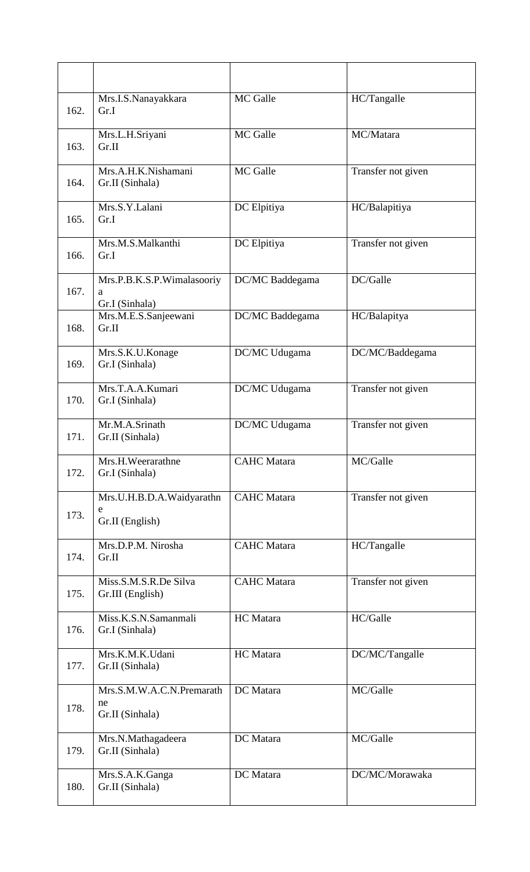| 162. | Mrs.I.S.Nanayakkara<br>Gr.I                        | MC Galle           | HC/Tangalle        |
|------|----------------------------------------------------|--------------------|--------------------|
| 163. | Mrs.L.H.Sriyani<br>Gr.II                           | MC Galle           | MC/Matara          |
| 164. | Mrs.A.H.K.Nishamani<br>Gr.II (Sinhala)             | MC Galle           | Transfer not given |
| 165. | Mrs.S.Y.Lalani<br>Gr.I                             | DC Elpitiya        | HC/Balapitiya      |
| 166. | Mrs.M.S.Malkanthi<br>Gr.I                          | DC Elpitiya        | Transfer not given |
| 167. | Mrs.P.B.K.S.P.Wimalasooriy<br>a                    | DC/MC Baddegama    | DC/Galle           |
| 168. | Gr.I (Sinhala)<br>Mrs.M.E.S.Sanjeewani<br>Gr.II    | DC/MC Baddegama    | HC/Balapitya       |
| 169. | Mrs.S.K.U.Konage<br>Gr.I (Sinhala)                 | DC/MC Udugama      | DC/MC/Baddegama    |
| 170. | Mrs.T.A.A.Kumari<br>Gr.I (Sinhala)                 | DC/MC Udugama      | Transfer not given |
| 171. | Mr.M.A.Srinath<br>Gr.II (Sinhala)                  | DC/MC Udugama      | Transfer not given |
| 172. | Mrs.H.Weerarathne<br>Gr.I (Sinhala)                | <b>CAHC</b> Matara | MC/Galle           |
| 173. | Mrs.U.H.B.D.A.Waidyarathn<br>e<br>Gr.II (English)  | <b>CAHC</b> Matara | Transfer not given |
| 174. | Mrs.D.P.M. Nirosha<br>Gr.II                        | <b>CAHC</b> Matara | HC/Tangalle        |
| 175. | Miss.S.M.S.R.De Silva<br>Gr.III (English)          | <b>CAHC</b> Matara | Transfer not given |
| 176. | Miss.K.S.N.Samanmali<br>Gr.I (Sinhala)             | HC Matara          | HC/Galle           |
| 177. | Mrs.K.M.K.Udani<br>Gr.II (Sinhala)                 | HC Matara          | DC/MC/Tangalle     |
| 178. | Mrs.S.M.W.A.C.N.Premarath<br>ne<br>Gr.II (Sinhala) | DC Matara          | MC/Galle           |
| 179. | Mrs.N.Mathagadeera<br>Gr.II (Sinhala)              | DC Matara          | MC/Galle           |
| 180. | Mrs.S.A.K.Ganga<br>Gr.II (Sinhala)                 | DC Matara          | DC/MC/Morawaka     |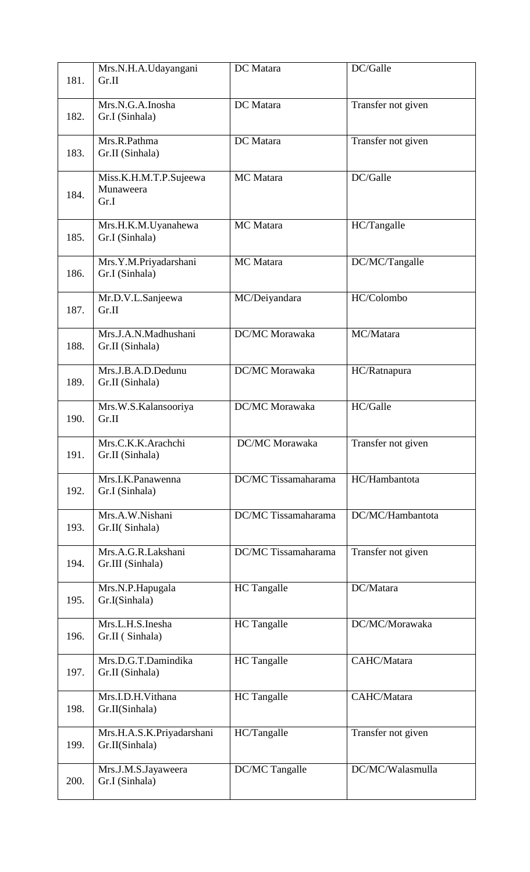| 181. | Mrs.N.H.A.Udayangani<br>Gr.II               | DC Matara                  | DC/Galle           |
|------|---------------------------------------------|----------------------------|--------------------|
| 182. | Mrs.N.G.A.Inosha<br>Gr.I (Sinhala)          | DC Matara                  | Transfer not given |
| 183. | Mrs.R.Pathma<br>Gr.II (Sinhala)             | DC Matara                  | Transfer not given |
| 184. | Miss.K.H.M.T.P.Sujeewa<br>Munaweera<br>Gr.I | MC Matara                  | DC/Galle           |
| 185. | Mrs.H.K.M.Uyanahewa<br>Gr.I (Sinhala)       | MC Matara                  | HC/Tangalle        |
| 186. | Mrs.Y.M.Priyadarshani<br>Gr.I (Sinhala)     | MC Matara                  | DC/MC/Tangalle     |
| 187. | Mr.D.V.L.Sanjeewa<br>Gr.II                  | MC/Deiyandara              | HC/Colombo         |
| 188. | Mrs.J.A.N.Madhushani<br>Gr.II (Sinhala)     | DC/MC Morawaka             | MC/Matara          |
| 189. | Mrs.J.B.A.D.Dedunu<br>Gr.II (Sinhala)       | DC/MC Morawaka             | HC/Ratnapura       |
| 190. | Mrs.W.S.Kalansooriya<br>Gr.II               | DC/MC Morawaka             | HC/Galle           |
| 191. | Mrs.C.K.K.Arachchi<br>Gr.II (Sinhala)       | DC/MC Morawaka             | Transfer not given |
| 192. | Mrs.I.K.Panawenna<br>Gr.I (Sinhala)         | <b>DC/MC</b> Tissamaharama | HC/Hambantota      |
| 193. | Mrs.A.W.Nishani<br>Gr.II(Sinhala)           | DC/MC Tissamaharama        | DC/MC/Hambantota   |
| 194. | Mrs.A.G.R.Lakshani<br>Gr.III (Sinhala)      | DC/MC Tissamaharama        | Transfer not given |
| 195. | Mrs.N.P.Hapugala<br>Gr.I(Sinhala)           | HC Tangalle                | DC/Matara          |
| 196. | Mrs.L.H.S.Inesha<br>Gr.II (Sinhala)         | HC Tangalle                | DC/MC/Morawaka     |
| 197. | Mrs.D.G.T.Damindika<br>Gr.II (Sinhala)      | <b>HC</b> Tangalle         | CAHC/Matara        |
| 198. | Mrs.I.D.H.Vithana<br>Gr.II(Sinhala)         | <b>HC</b> Tangalle         | CAHC/Matara        |
| 199. | Mrs.H.A.S.K.Priyadarshani<br>Gr.II(Sinhala) | HC/Tangalle                | Transfer not given |
| 200. | Mrs.J.M.S.Jayaweera<br>Gr.I (Sinhala)       | DC/MC Tangalle             | DC/MC/Walasmulla   |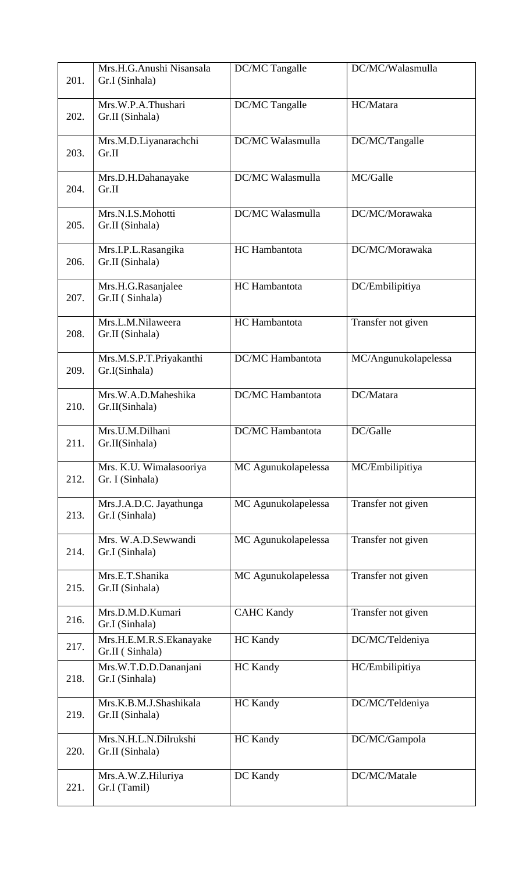| 201. | Mrs.H.G.Anushi Nisansala<br>Gr.I (Sinhala) | DC/MC Tangalle          | DC/MC/Walasmulla     |
|------|--------------------------------------------|-------------------------|----------------------|
| 202. | Mrs.W.P.A.Thushari<br>Gr.II (Sinhala)      | DC/MC Tangalle          | HC/Matara            |
| 203. | Mrs.M.D.Liyanarachchi<br>Gr.II             | DC/MC Walasmulla        | DC/MC/Tangalle       |
| 204. | Mrs.D.H.Dahanayake<br>Gr.II                | DC/MC Walasmulla        | MC/Galle             |
| 205. | Mrs.N.I.S.Mohotti<br>Gr.II (Sinhala)       | DC/MC Walasmulla        | DC/MC/Morawaka       |
| 206. | Mrs.I.P.L.Rasangika<br>Gr.II (Sinhala)     | HC Hambantota           | DC/MC/Morawaka       |
| 207. | Mrs.H.G.Rasanjalee<br>Gr.II (Sinhala)      | HC Hambantota           | DC/Embilipitiya      |
| 208. | Mrs.L.M.Nilaweera<br>Gr.II (Sinhala)       | HC Hambantota           | Transfer not given   |
| 209. | Mrs.M.S.P.T.Priyakanthi<br>Gr.I(Sinhala)   | <b>DC/MC</b> Hambantota | MC/Angunukolapelessa |
| 210. | Mrs.W.A.D.Maheshika<br>Gr.II(Sinhala)      | <b>DC/MC</b> Hambantota | DC/Matara            |
| 211. | Mrs.U.M.Dilhani<br>Gr.II(Sinhala)          | DC/MC Hambantota        | DC/Galle             |
| 212. | Mrs. K.U. Wimalasooriya<br>Gr. I (Sinhala) | MC Agunukolapelessa     | MC/Embilipitiya      |
| 213. | Mrs.J.A.D.C. Jayathunga<br>Gr.I (Sinhala)  | MC Agunukolapelessa     | Transfer not given   |
| 214. | Mrs. W.A.D.Sewwandi<br>Gr.I (Sinhala)      | MC Agunukolapelessa     | Transfer not given   |
| 215. | Mrs.E.T.Shanika<br>Gr.II (Sinhala)         | MC Agunukolapelessa     | Transfer not given   |
| 216. | Mrs.D.M.D.Kumari<br>Gr.I (Sinhala)         | <b>CAHC Kandy</b>       | Transfer not given   |
| 217. | Mrs.H.E.M.R.S.Ekanayake<br>Gr.II (Sinhala) | <b>HC</b> Kandy         | DC/MC/Teldeniya      |
| 218. | Mrs.W.T.D.D.Dananjani<br>Gr.I (Sinhala)    | <b>HC</b> Kandy         | HC/Embilipitiya      |
| 219. | Mrs.K.B.M.J.Shashikala<br>Gr.II (Sinhala)  | <b>HC</b> Kandy         | DC/MC/Teldeniya      |
| 220. | Mrs.N.H.L.N.Dilrukshi<br>Gr.II (Sinhala)   | <b>HC</b> Kandy         | DC/MC/Gampola        |
| 221. | Mrs.A.W.Z.Hiluriya<br>Gr.I (Tamil)         | DC Kandy                | DC/MC/Matale         |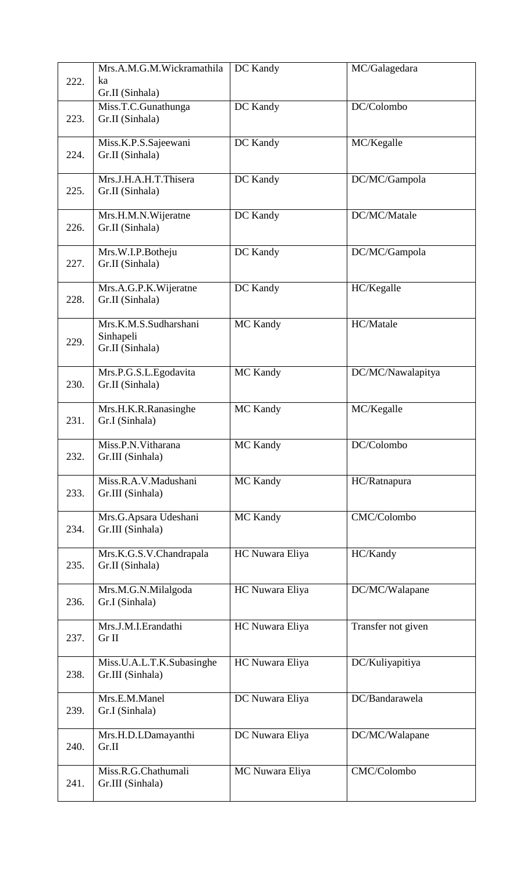| 222. | Mrs.A.M.G.M.Wickramathila<br>ka                       | DC Kandy        | MC/Galagedara      |
|------|-------------------------------------------------------|-----------------|--------------------|
|      | Gr.II (Sinhala)                                       |                 |                    |
| 223. | Miss.T.C.Gunathunga<br>Gr.II (Sinhala)                | DC Kandy        | DC/Colombo         |
| 224. | Miss.K.P.S.Sajeewani<br>Gr.II (Sinhala)               | DC Kandy        | MC/Kegalle         |
| 225. | Mrs.J.H.A.H.T.Thisera<br>Gr.II (Sinhala)              | DC Kandy        | DC/MC/Gampola      |
| 226. | Mrs.H.M.N.Wijeratne<br>Gr.II (Sinhala)                | DC Kandy        | DC/MC/Matale       |
| 227. | Mrs.W.I.P.Botheju<br>Gr.II (Sinhala)                  | DC Kandy        | DC/MC/Gampola      |
| 228. | Mrs.A.G.P.K.Wijeratne<br>Gr.II (Sinhala)              | DC Kandy        | HC/Kegalle         |
| 229. | Mrs.K.M.S.Sudharshani<br>Sinhapeli<br>Gr.II (Sinhala) | MC Kandy        | HC/Matale          |
| 230. | Mrs.P.G.S.L.Egodavita<br>Gr.II (Sinhala)              | MC Kandy        | DC/MC/Nawalapitya  |
| 231. | Mrs.H.K.R.Ranasinghe<br>Gr.I (Sinhala)                | MC Kandy        | MC/Kegalle         |
| 232. | Miss.P.N. Vitharana<br>Gr.III (Sinhala)               | MC Kandy        | DC/Colombo         |
| 233. | Miss.R.A.V.Madushani<br>Gr.III (Sinhala)              | MC Kandy        | HC/Ratnapura       |
| 234. | Mrs.G.Apsara Udeshani<br>Gr.III (Sinhala)             | MC Kandy        | CMC/Colombo        |
| 235. | Mrs.K.G.S.V.Chandrapala<br>Gr.II (Sinhala)            | HC Nuwara Eliya | HC/Kandy           |
| 236. | Mrs.M.G.N.Milalgoda<br>Gr.I (Sinhala)                 | HC Nuwara Eliya | DC/MC/Walapane     |
| 237. | Mrs.J.M.I.Erandathi<br>Gr II                          | HC Nuwara Eliya | Transfer not given |
| 238. | Miss.U.A.L.T.K.Subasinghe<br>Gr.III (Sinhala)         | HC Nuwara Eliya | DC/Kuliyapitiya    |
| 239. | Mrs.E.M.Manel<br>Gr.I (Sinhala)                       | DC Nuwara Eliya | DC/Bandarawela     |
| 240. | Mrs.H.D.LDamayanthi<br>Gr.II                          | DC Nuwara Eliya | DC/MC/Walapane     |
| 241. | Miss.R.G.Chathumali<br>Gr.III (Sinhala)               | MC Nuwara Eliya | CMC/Colombo        |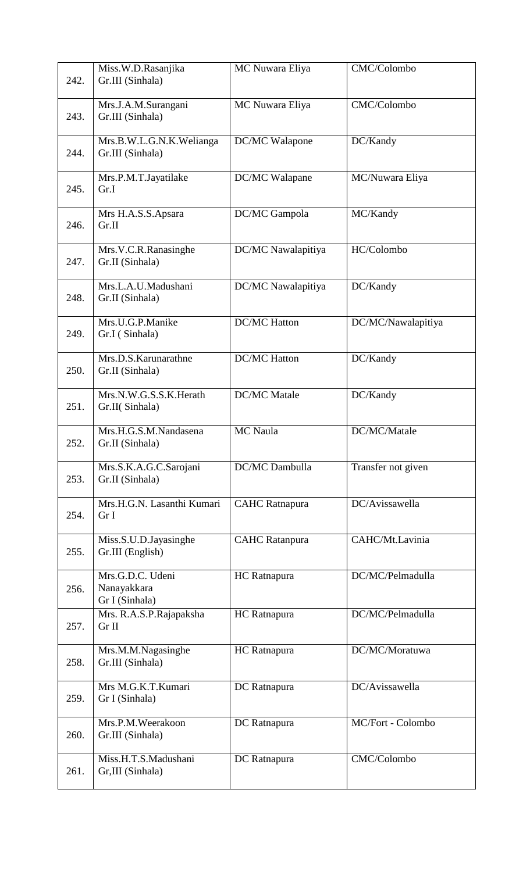| 242. | Miss.W.D.Rasanjika<br>Gr.III (Sinhala)            | MC Nuwara Eliya       | CMC/Colombo        |
|------|---------------------------------------------------|-----------------------|--------------------|
| 243. | Mrs.J.A.M.Surangani<br>Gr.III (Sinhala)           | MC Nuwara Eliya       | CMC/Colombo        |
| 244. | Mrs.B.W.L.G.N.K.Welianga<br>Gr.III (Sinhala)      | DC/MC Walapone        | DC/Kandy           |
| 245. | Mrs.P.M.T.Jayatilake<br>Gr.I                      | DC/MC Walapane        | MC/Nuwara Eliya    |
| 246. | Mrs H.A.S.S.Apsara<br>Gr.II                       | DC/MC Gampola         | MC/Kandy           |
| 247. | Mrs.V.C.R.Ranasinghe<br>Gr.II (Sinhala)           | DC/MC Nawalapitiya    | HC/Colombo         |
| 248. | Mrs.L.A.U.Madushani<br>Gr.II (Sinhala)            | DC/MC Nawalapitiya    | DC/Kandy           |
| 249. | Mrs.U.G.P.Manike<br>Gr.I (Sinhala)                | <b>DC/MC Hatton</b>   | DC/MC/Nawalapitiya |
| 250. | Mrs.D.S.Karunarathne<br>Gr.II (Sinhala)           | <b>DC/MC</b> Hatton   | DC/Kandy           |
| 251. | Mrs.N.W.G.S.S.K.Herath<br>Gr.II(Sinhala)          | <b>DC/MC</b> Matale   | DC/Kandy           |
| 252. | Mrs.H.G.S.M.Nandasena<br>Gr.II (Sinhala)          | <b>MC</b> Naula       | DC/MC/Matale       |
| 253. | Mrs.S.K.A.G.C.Sarojani<br>Gr.II (Sinhala)         | DC/MC Dambulla        | Transfer not given |
| 254. | Mrs.H.G.N. Lasanthi Kumari<br>Gr I                | <b>CAHC</b> Ratnapura | DC/Avissawella     |
| 255. | Miss.S.U.D.Jayasinghe<br>Gr.III (English)         | <b>CAHC</b> Ratanpura | CAHC/Mt.Lavinia    |
| 256. | Mrs.G.D.C. Udeni<br>Nanayakkara<br>Gr I (Sinhala) | HC Ratnapura          | DC/MC/Pelmadulla   |
| 257. | Mrs. R.A.S.P.Rajapaksha<br>Gr II                  | HC Ratnapura          | DC/MC/Pelmadulla   |
| 258. | Mrs.M.M.Nagasinghe<br>Gr.III (Sinhala)            | HC Ratnapura          | DC/MC/Moratuwa     |
| 259. | Mrs M.G.K.T.Kumari<br>Gr I (Sinhala)              | DC Ratnapura          | DC/Avissawella     |
| 260. | Mrs.P.M.Weerakoon<br>Gr.III (Sinhala)             | DC Ratnapura          | MC/Fort - Colombo  |
| 261. | Miss.H.T.S.Madushani<br>Gr,III (Sinhala)          | DC Ratnapura          | CMC/Colombo        |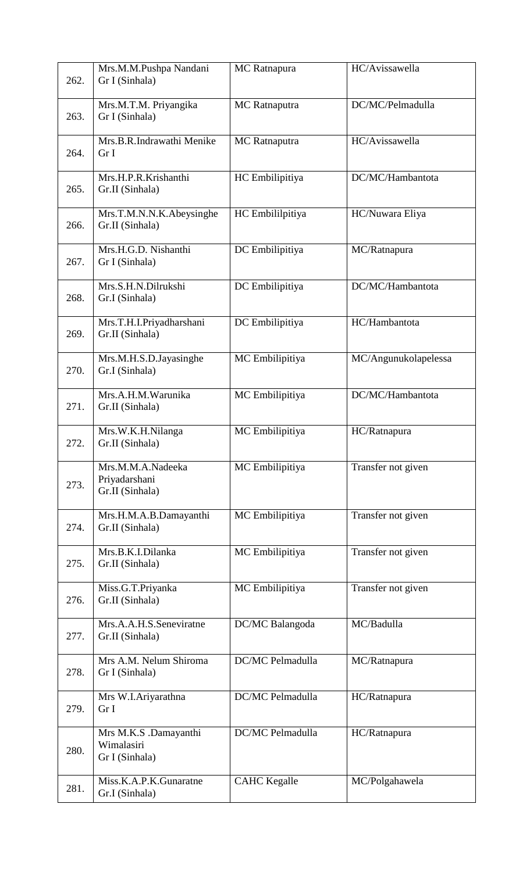| 262. | Mrs.M.M.Pushpa Nandani<br>Gr I (Sinhala)              | MC Ratnapura         | HC/Avissawella       |
|------|-------------------------------------------------------|----------------------|----------------------|
| 263. | Mrs.M.T.M. Priyangika<br>Gr I (Sinhala)               | MC Ratnaputra        | DC/MC/Pelmadulla     |
| 264. | Mrs.B.R.Indrawathi Menike<br>Gr I                     | <b>MC</b> Ratnaputra | HC/Avissawella       |
| 265. | Mrs.H.P.R.Krishanthi<br>Gr.II (Sinhala)               | HC Embilipitiya      | DC/MC/Hambantota     |
| 266. | Mrs.T.M.N.N.K.Abeysinghe<br>Gr.II (Sinhala)           | HC Embililpitiya     | HC/Nuwara Eliya      |
| 267. | Mrs.H.G.D. Nishanthi<br>Gr I (Sinhala)                | DC Embilipitiya      | MC/Ratnapura         |
| 268. | Mrs.S.H.N.Dilrukshi<br>Gr.I (Sinhala)                 | DC Embilipitiya      | DC/MC/Hambantota     |
| 269. | Mrs.T.H.I.Priyadharshani<br>Gr.II (Sinhala)           | DC Embilipitiya      | HC/Hambantota        |
| 270. | Mrs.M.H.S.D.Jayasinghe<br>Gr.I (Sinhala)              | MC Embilipitiya      | MC/Angunukolapelessa |
| 271. | Mrs.A.H.M.Warunika<br>Gr.II (Sinhala)                 | MC Embilipitiya      | DC/MC/Hambantota     |
| 272. | Mrs.W.K.H.Nilanga<br>Gr.II (Sinhala)                  | MC Embilipitiya      | HC/Ratnapura         |
| 273. | Mrs.M.M.A.Nadeeka<br>Priyadarshani<br>Gr.II (Sinhala) | MC Embilipitiya      | Transfer not given   |
| 274. | Mrs.H.M.A.B.Damayanthi<br>Gr.II (Sinhala)             | MC Embilipitiya      | Transfer not given   |
| 275. | Mrs.B.K.I.Dilanka<br>Gr.II (Sinhala)                  | MC Embilipitiya      | Transfer not given   |
| 276. | Miss.G.T.Priyanka<br>Gr.II (Sinhala)                  | MC Embilipitiya      | Transfer not given   |
| 277. | Mrs.A.A.H.S.Seneviratne<br>Gr.II (Sinhala)            | DC/MC Balangoda      | MC/Badulla           |
| 278. | Mrs A.M. Nelum Shiroma<br>Gr I (Sinhala)              | DC/MC Pelmadulla     | MC/Ratnapura         |
| 279. | Mrs W.I.Ariyarathna<br>Gr I                           | DC/MC Pelmadulla     | HC/Ratnapura         |
| 280. | Mrs M.K.S .Damayanthi<br>Wimalasiri<br>Gr I (Sinhala) | DC/MC Pelmadulla     | HC/Ratnapura         |
| 281. | Miss.K.A.P.K.Gunaratne<br>Gr.I (Sinhala)              | <b>CAHC</b> Kegalle  | MC/Polgahawela       |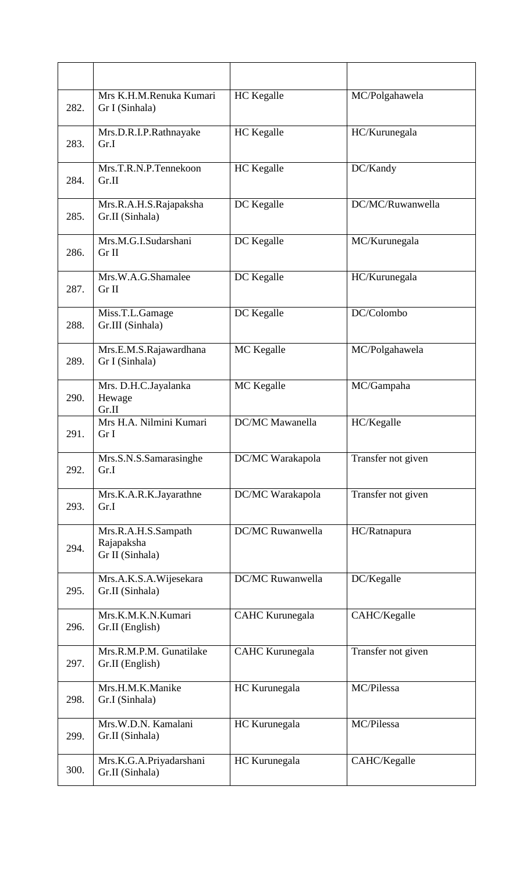| 282. | Mrs K.H.M.Renuka Kumari<br>Gr I (Sinhala)            | HC Kegalle              | MC/Polgahawela     |
|------|------------------------------------------------------|-------------------------|--------------------|
| 283. | Mrs.D.R.I.P.Rathnayake<br>Gr.I                       | HC Kegalle              | HC/Kurunegala      |
| 284. | Mrs.T.R.N.P.Tennekoon<br>Gr.II                       | <b>HC</b> Kegalle       | DC/Kandy           |
| 285. | Mrs.R.A.H.S.Rajapaksha<br>Gr.II (Sinhala)            | DC Kegalle              | DC/MC/Ruwanwella   |
| 286. | Mrs.M.G.I.Sudarshani<br>Gr II                        | DC Kegalle              | MC/Kurunegala      |
| 287. | Mrs.W.A.G.Shamalee<br>Gr II                          | DC Kegalle              | HC/Kurunegala      |
| 288. | Miss.T.L.Gamage<br>Gr.III (Sinhala)                  | DC Kegalle              | DC/Colombo         |
| 289. | Mrs.E.M.S.Rajawardhana<br>Gr I (Sinhala)             | MC Kegalle              | MC/Polgahawela     |
| 290. | Mrs. D.H.C.Jayalanka<br>Hewage<br>Gr.II              | MC Kegalle              | MC/Gampaha         |
| 291. | Mrs H.A. Nilmini Kumari<br>Gr I                      | <b>DC/MC</b> Mawanella  | HC/Kegalle         |
| 292. | Mrs.S.N.S.Samarasinghe<br>Gr.I                       | DC/MC Warakapola        | Transfer not given |
| 293. | Mrs.K.A.R.K.Jayarathne<br>Gr.I                       | DC/MC Warakapola        | Transfer not given |
| 294. | Mrs.R.A.H.S.Sampath<br>Rajapaksha<br>Gr II (Sinhala) | DC/MC Ruwanwella        | HC/Ratnapura       |
| 295. | Mrs.A.K.S.A.Wijesekara<br>Gr.II (Sinhala)            | <b>DC/MC Ruwanwella</b> | DC/Kegalle         |
| 296. | Mrs.K.M.K.N.Kumari<br>Gr.II (English)                | <b>CAHC</b> Kurunegala  | CAHC/Kegalle       |
| 297. | Mrs.R.M.P.M. Gunatilake<br>Gr.II (English)           | <b>CAHC Kurunegala</b>  | Transfer not given |
| 298. | Mrs.H.M.K.Manike<br>Gr.I (Sinhala)                   | HC Kurunegala           | MC/Pilessa         |
| 299. | Mrs.W.D.N. Kamalani<br>Gr.II (Sinhala)               | HC Kurunegala           | MC/Pilessa         |
| 300. | Mrs.K.G.A.Priyadarshani<br>Gr.II (Sinhala)           | HC Kurunegala           | CAHC/Kegalle       |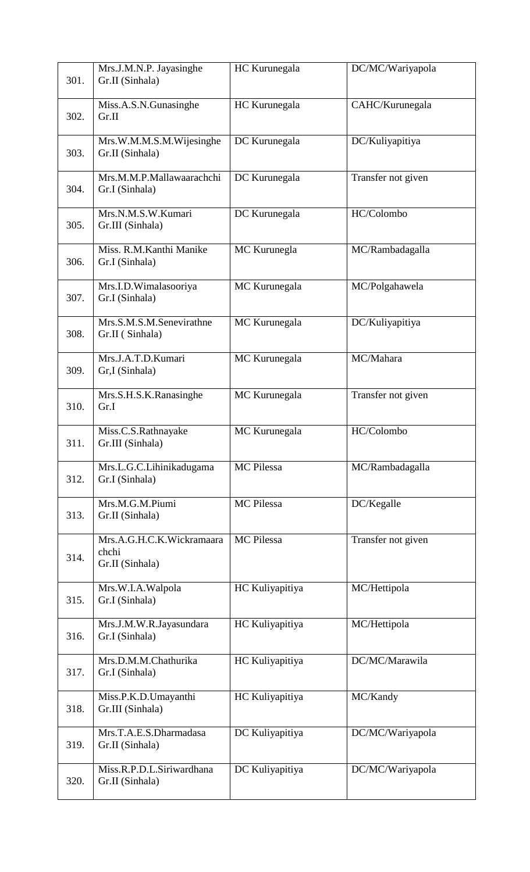| 301. | Mrs.J.M.N.P. Jayasinghe<br>Gr.II (Sinhala)            | HC Kurunegala     | DC/MC/Wariyapola   |
|------|-------------------------------------------------------|-------------------|--------------------|
| 302. | Miss.A.S.N.Gunasinghe<br>Gr.II                        | HC Kurunegala     | CAHC/Kurunegala    |
| 303. | Mrs.W.M.M.S.M.Wijesinghe<br>Gr.II (Sinhala)           | DC Kurunegala     | DC/Kuliyapitiya    |
| 304. | Mrs.M.M.P.Mallawaarachchi<br>Gr.I (Sinhala)           | DC Kurunegala     | Transfer not given |
| 305. | Mrs.N.M.S.W.Kumari<br>Gr.III (Sinhala)                | DC Kurunegala     | HC/Colombo         |
| 306. | Miss. R.M.Kanthi Manike<br>Gr.I (Sinhala)             | MC Kurunegla      | MC/Rambadagalla    |
| 307. | Mrs.I.D.Wimalasooriya<br>Gr.I (Sinhala)               | MC Kurunegala     | MC/Polgahawela     |
| 308. | Mrs.S.M.S.M.Senevirathne<br>Gr.II (Sinhala)           | MC Kurunegala     | DC/Kuliyapitiya    |
| 309. | Mrs.J.A.T.D.Kumari<br>Gr,I (Sinhala)                  | MC Kurunegala     | MC/Mahara          |
| 310. | Mrs.S.H.S.K.Ranasinghe<br>Gr.I                        | MC Kurunegala     | Transfer not given |
| 311. | Miss.C.S.Rathnayake<br>Gr.III (Sinhala)               | MC Kurunegala     | HC/Colombo         |
| 312. | Mrs.L.G.C.Lihinikadugama<br>Gr.I (Sinhala)            | MC Pilessa        | MC/Rambadagalla    |
| 313. | Mrs.M.G.M.Piumi<br>Gr.II (Sinhala)                    | MC Pilessa        | DC/Kegalle         |
| 314. | Mrs.A.G.H.C.K.Wickramaara<br>chchi<br>Gr.II (Sinhala) | <b>MC</b> Pilessa | Transfer not given |
| 315. | Mrs.W.I.A.Walpola<br>Gr.I (Sinhala)                   | HC Kuliyapitiya   | MC/Hettipola       |
| 316. | Mrs.J.M.W.R.Jayasundara<br>Gr.I (Sinhala)             | HC Kuliyapitiya   | MC/Hettipola       |
| 317. | Mrs.D.M.M.Chathurika<br>Gr.I (Sinhala)                | HC Kuliyapitiya   | DC/MC/Marawila     |
| 318. | Miss.P.K.D.Umayanthi<br>Gr.III (Sinhala)              | HC Kuliyapitiya   | MC/Kandy           |
| 319. | Mrs.T.A.E.S.Dharmadasa<br>Gr.II (Sinhala)             | DC Kuliyapitiya   | DC/MC/Wariyapola   |
| 320. | Miss.R.P.D.L.Siriwardhana<br>Gr.II (Sinhala)          | DC Kuliyapitiya   | DC/MC/Wariyapola   |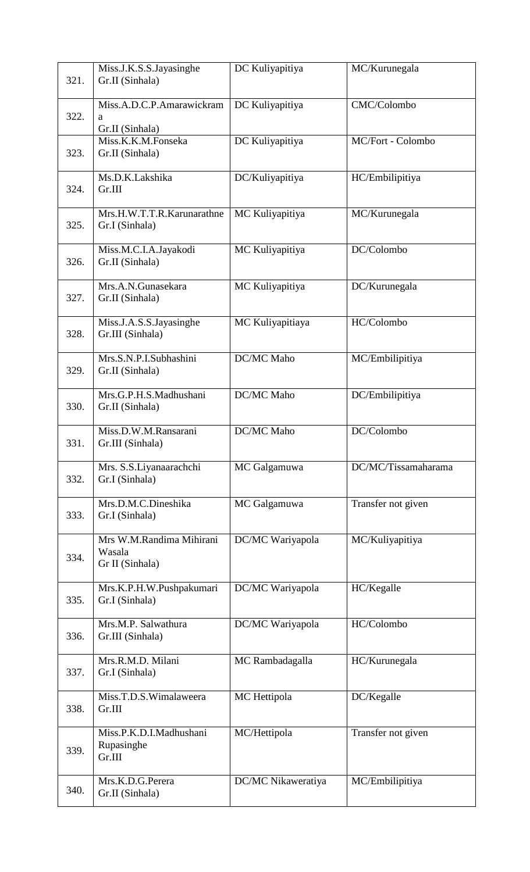|      | Miss.J.K.S.S.Jayasinghe                      | DC Kuliyapitiya    | MC/Kurunegala       |
|------|----------------------------------------------|--------------------|---------------------|
| 321. | Gr.II (Sinhala)                              |                    |                     |
| 322. | Miss.A.D.C.P.Amarawickram<br>a               | DC Kuliyapitiya    | CMC/Colombo         |
|      | Gr.II (Sinhala)                              |                    |                     |
| 323. | Miss.K.K.M.Fonseka<br>Gr.II (Sinhala)        | DC Kuliyapitiya    | MC/Fort - Colombo   |
|      |                                              |                    |                     |
| 324. | Ms.D.K.Lakshika<br>Gr.III                    | DC/Kuliyapitiya    | HC/Embilipitiya     |
|      |                                              |                    |                     |
| 325. | Mrs.H.W.T.T.R.Karunarathne<br>Gr.I (Sinhala) | MC Kuliyapitiya    | MC/Kurunegala       |
|      |                                              |                    |                     |
| 326. | Miss.M.C.I.A.Jayakodi<br>Gr.II (Sinhala)     | MC Kuliyapitiya    | DC/Colombo          |
|      |                                              |                    |                     |
| 327. | Mrs.A.N.Gunasekara<br>Gr.II (Sinhala)        | MC Kuliyapitiya    | DC/Kurunegala       |
|      |                                              |                    |                     |
| 328. | Miss.J.A.S.S.Jayasinghe<br>Gr.III (Sinhala)  | MC Kuliyapitiaya   | HC/Colombo          |
|      |                                              |                    |                     |
| 329. | Mrs.S.N.P.I.Subhashini<br>Gr.II (Sinhala)    | DC/MC Maho         | MC/Embilipitiya     |
|      |                                              |                    |                     |
| 330. | Mrs.G.P.H.S.Madhushani<br>Gr.II (Sinhala)    | DC/MC Maho         | DC/Embilipitiya     |
|      |                                              |                    |                     |
| 331. | Miss.D.W.M.Ransarani<br>Gr.III (Sinhala)     | DC/MC Maho         | DC/Colombo          |
|      | Mrs. S.S.Liyanaarachchi                      | MC Galgamuwa       | DC/MC/Tissamaharama |
| 332. | Gr.I (Sinhala)                               |                    |                     |
|      | Mrs.D.M.C.Dineshika                          | MC Galgamuwa       | Transfer not given  |
| 333. | Gr.I (Sinhala)                               |                    |                     |
|      | Mrs W.M.Randima Mihirani                     | DC/MC Wariyapola   | MC/Kuliyapitiya     |
| 334. | Wasala                                       |                    |                     |
|      | Gr II (Sinhala)                              |                    |                     |
|      | Mrs.K.P.H.W.Pushpakumari                     | DC/MC Wariyapola   | HC/Kegalle          |
| 335. | Gr.I (Sinhala)                               |                    |                     |
|      | Mrs.M.P. Salwathura                          | DC/MC Wariyapola   | HC/Colombo          |
| 336. | Gr.III (Sinhala)                             |                    |                     |
| 337. | Mrs.R.M.D. Milani                            | MC Rambadagalla    | HC/Kurunegala       |
|      | Gr.I (Sinhala)                               |                    |                     |
|      | Miss.T.D.S.Wimalaweera                       | MC Hettipola       | DC/Kegalle          |
| 338. | Gr.III                                       |                    |                     |
|      | Miss.P.K.D.I.Madhushani                      | MC/Hettipola       | Transfer not given  |
| 339. | Rupasinghe<br>Gr.III                         |                    |                     |
|      | Mrs.K.D.G.Perera                             | DC/MC Nikaweratiya | MC/Embilipitiya     |
| 340. | Gr.II (Sinhala)                              |                    |                     |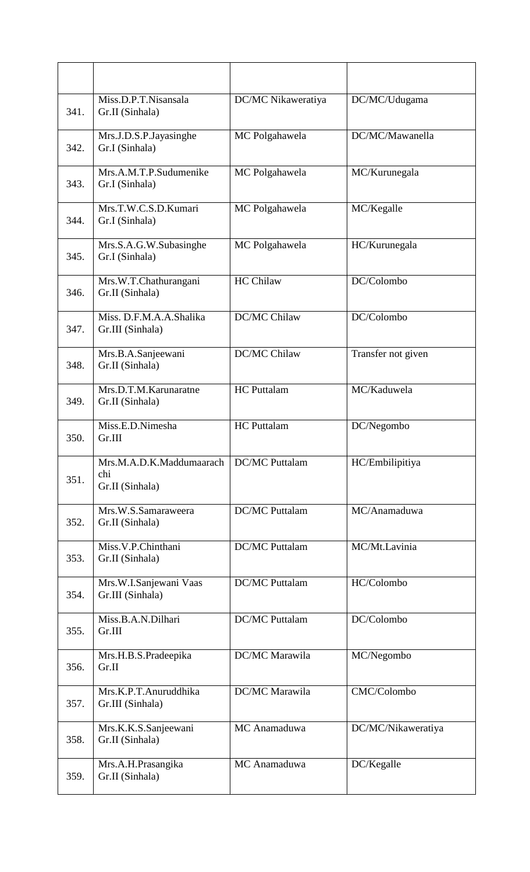| 341. | Miss.D.P.T.Nisansala<br>Gr.II (Sinhala)            | DC/MC Nikaweratiya    | DC/MC/Udugama      |
|------|----------------------------------------------------|-----------------------|--------------------|
| 342. | Mrs.J.D.S.P.Jayasinghe<br>Gr.I (Sinhala)           | MC Polgahawela        | DC/MC/Mawanella    |
| 343. | Mrs.A.M.T.P.Sudumenike<br>Gr.I (Sinhala)           | MC Polgahawela        | MC/Kurunegala      |
| 344. | Mrs.T.W.C.S.D.Kumari<br>Gr.I (Sinhala)             | MC Polgahawela        | MC/Kegalle         |
| 345. | Mrs.S.A.G.W.Subasinghe<br>Gr.I (Sinhala)           | MC Polgahawela        | HC/Kurunegala      |
| 346. | Mrs.W.T.Chathurangani<br>Gr.II (Sinhala)           | <b>HC Chilaw</b>      | DC/Colombo         |
| 347. | Miss. D.F.M.A.A.Shalika<br>Gr.III (Sinhala)        | DC/MC Chilaw          | DC/Colombo         |
| 348. | Mrs.B.A.Sanjeewani<br>Gr.II (Sinhala)              | DC/MC Chilaw          | Transfer not given |
| 349. | Mrs.D.T.M.Karunaratne<br>Gr.II (Sinhala)           | <b>HC</b> Puttalam    | MC/Kaduwela        |
| 350. | Miss.E.D.Nimesha<br>Gr.III                         | <b>HC</b> Puttalam    | DC/Negombo         |
| 351. | Mrs.M.A.D.K.Maddumaarach<br>chi<br>Gr.II (Sinhala) | <b>DC/MC</b> Puttalam | HC/Embilipitiya    |
| 352. | Mrs.W.S.Samaraweera<br>Gr.II (Sinhala)             | <b>DC/MC</b> Puttalam | MC/Anamaduwa       |
| 353. | Miss.V.P.Chinthani<br>Gr.II (Sinhala)              | <b>DC/MC</b> Puttalam | MC/Mt.Lavinia      |
| 354. | Mrs.W.I.Sanjewani Vaas<br>Gr.III (Sinhala)         | <b>DC/MC</b> Puttalam | HC/Colombo         |
| 355. | Miss.B.A.N.Dilhari<br>Gr.III                       | <b>DC/MC</b> Puttalam | DC/Colombo         |
| 356. | Mrs.H.B.S.Pradeepika<br>Gr.II                      | DC/MC Marawila        | MC/Negombo         |
| 357. | Mrs.K.P.T.Anuruddhika<br>Gr.III (Sinhala)          | DC/MC Marawila        | CMC/Colombo        |
| 358. | Mrs.K.K.S.Sanjeewani<br>Gr.II (Sinhala)            | MC Anamaduwa          | DC/MC/Nikaweratiya |
| 359. | Mrs.A.H.Prasangika<br>Gr.II (Sinhala)              | MC Anamaduwa          | DC/Kegalle         |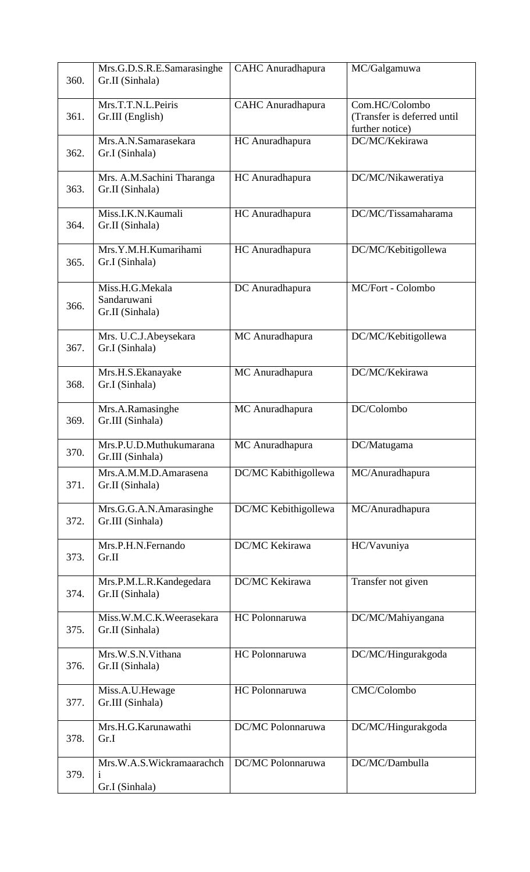| 360. | Mrs.G.D.S.R.E.Samarasinghe<br>Gr.II (Sinhala)     | <b>CAHC</b> Anuradhapura | MC/Galgamuwa                                                     |
|------|---------------------------------------------------|--------------------------|------------------------------------------------------------------|
| 361. | Mrs.T.T.N.L.Peiris<br>Gr.III (English)            | <b>CAHC</b> Anuradhapura | Com.HC/Colombo<br>(Transfer is deferred until<br>further notice) |
| 362. | Mrs.A.N.Samarasekara<br>Gr.I (Sinhala)            | HC Anuradhapura          | DC/MC/Kekirawa                                                   |
| 363. | Mrs. A.M.Sachini Tharanga<br>Gr.II (Sinhala)      | HC Anuradhapura          | DC/MC/Nikaweratiya                                               |
| 364. | Miss.I.K.N.Kaumali<br>Gr.II (Sinhala)             | HC Anuradhapura          | DC/MC/Tissamaharama                                              |
| 365. | Mrs.Y.M.H.Kumarihami<br>Gr.I (Sinhala)            | HC Anuradhapura          | DC/MC/Kebitigollewa                                              |
| 366. | Miss.H.G.Mekala<br>Sandaruwani<br>Gr.II (Sinhala) | DC Anuradhapura          | MC/Fort - Colombo                                                |
| 367. | Mrs. U.C.J.Abeysekara<br>Gr.I (Sinhala)           | MC Anuradhapura          | DC/MC/Kebitigollewa                                              |
| 368. | Mrs.H.S.Ekanayake<br>Gr.I (Sinhala)               | MC Anuradhapura          | DC/MC/Kekirawa                                                   |
| 369. | Mrs.A.Ramasinghe<br>Gr.III (Sinhala)              | MC Anuradhapura          | DC/Colombo                                                       |
| 370. | Mrs.P.U.D.Muthukumarana<br>Gr.III (Sinhala)       | MC Anuradhapura          | DC/Matugama                                                      |
| 371. | Mrs.A.M.M.D.Amarasena<br>Gr.II (Sinhala)          | DC/MC Kabithigollewa     | MC/Anuradhapura                                                  |
| 372. | Mrs.G.G.A.N.Amarasinghe<br>Gr.III (Sinhala)       | DC/MC Kebithigollewa     | MC/Anuradhapura                                                  |
| 373. | Mrs.P.H.N.Fernando<br>Gr.II                       | DC/MC Kekirawa           | HC/Vavuniya                                                      |
| 374. | Mrs.P.M.L.R.Kandegedara<br>Gr.II (Sinhala)        | DC/MC Kekirawa           | Transfer not given                                               |
| 375. | Miss.W.M.C.K.Weerasekara<br>Gr.II (Sinhala)       | HC Polonnaruwa           | DC/MC/Mahiyangana                                                |
| 376. | Mrs.W.S.N.Vithana<br>Gr.II (Sinhala)              | HC Polonnaruwa           | DC/MC/Hingurakgoda                                               |
| 377. | Miss.A.U.Hewage<br>Gr.III (Sinhala)               | HC Polonnaruwa           | CMC/Colombo                                                      |
| 378. | Mrs.H.G.Karunawathi<br>Gr.I                       | DC/MC Polonnaruwa        | DC/MC/Hingurakgoda                                               |
| 379. | Mrs.W.A.S.Wickramaarachch<br>Gr.I (Sinhala)       | DC/MC Polonnaruwa        | DC/MC/Dambulla                                                   |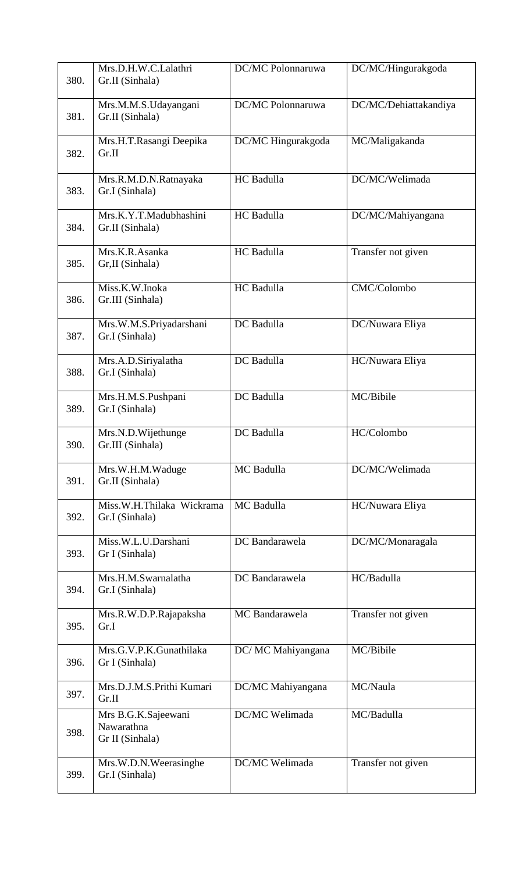| 380. | Mrs.D.H.W.C.Lalathri<br>Gr.II (Sinhala)              | DC/MC Polonnaruwa  | DC/MC/Hingurakgoda    |
|------|------------------------------------------------------|--------------------|-----------------------|
| 381. | Mrs.M.M.S.Udayangani<br>Gr.II (Sinhala)              | DC/MC Polonnaruwa  | DC/MC/Dehiattakandiya |
| 382. | Mrs.H.T.Rasangi Deepika<br>Gr.II                     | DC/MC Hingurakgoda | MC/Maligakanda        |
| 383. | Mrs.R.M.D.N.Ratnayaka<br>Gr.I (Sinhala)              | HC Badulla         | DC/MC/Welimada        |
| 384. | Mrs.K.Y.T.Madubhashini<br>Gr.II (Sinhala)            | HC Badulla         | DC/MC/Mahiyangana     |
| 385. | Mrs.K.R.Asanka<br>Gr, II (Sinhala)                   | HC Badulla         | Transfer not given    |
| 386. | Miss.K.W.Inoka<br>Gr.III (Sinhala)                   | HC Badulla         | CMC/Colombo           |
| 387. | Mrs.W.M.S.Priyadarshani<br>Gr.I (Sinhala)            | DC Badulla         | DC/Nuwara Eliya       |
| 388. | Mrs.A.D.Siriyalatha<br>Gr.I (Sinhala)                | DC Badulla         | HC/Nuwara Eliya       |
| 389. | Mrs.H.M.S.Pushpani<br>Gr.I (Sinhala)                 | DC Badulla         | MC/Bibile             |
| 390. | Mrs.N.D.Wijethunge<br>Gr.III (Sinhala)               | DC Badulla         | HC/Colombo            |
| 391. | Mrs.W.H.M.Waduge<br>Gr.II (Sinhala)                  | MC Badulla         | DC/MC/Welimada        |
| 392. | Miss.W.H.Thilaka Wickrama<br>Gr.I (Sinhala)          | MC Badulla         | HC/Nuwara Eliya       |
| 393. | Miss.W.L.U.Darshani<br>Gr I (Sinhala)                | DC Bandarawela     | DC/MC/Monaragala      |
| 394. | Mrs.H.M.Swarnalatha<br>Gr.I (Sinhala)                | DC Bandarawela     | HC/Badulla            |
| 395. | Mrs.R.W.D.P.Rajapaksha<br>Gr.I                       | MC Bandarawela     | Transfer not given    |
| 396. | Mrs.G.V.P.K.Gunathilaka<br>Gr I (Sinhala)            | DC/ MC Mahiyangana | MC/Bibile             |
| 397. | Mrs.D.J.M.S.Prithi Kumari<br>Gr.II                   | DC/MC Mahiyangana  | MC/Naula              |
| 398. | Mrs B.G.K.Sajeewani<br>Nawarathna<br>Gr II (Sinhala) | DC/MC Welimada     | MC/Badulla            |
| 399. | Mrs.W.D.N.Weerasinghe<br>Gr.I (Sinhala)              | DC/MC Welimada     | Transfer not given    |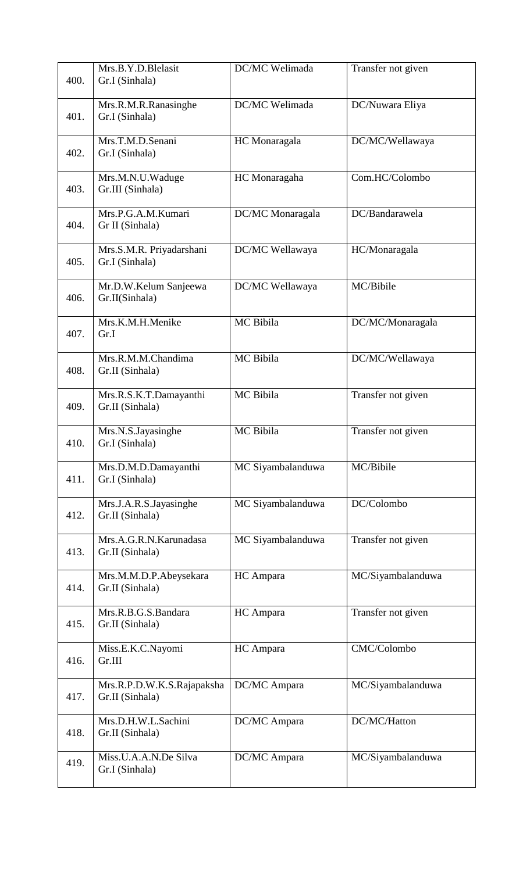| 400. | Mrs.B.Y.D.Blelasit<br>Gr.I (Sinhala)          | DC/MC Welimada    | Transfer not given |
|------|-----------------------------------------------|-------------------|--------------------|
| 401. | Mrs.R.M.R.Ranasinghe<br>Gr.I (Sinhala)        | DC/MC Welimada    | DC/Nuwara Eliya    |
| 402. | Mrs.T.M.D.Senani<br>Gr.I (Sinhala)            | HC Monaragala     | DC/MC/Wellawaya    |
| 403. | Mrs.M.N.U.Waduge<br>Gr.III (Sinhala)          | HC Monaragaha     | Com.HC/Colombo     |
| 404. | Mrs.P.G.A.M.Kumari<br>Gr II (Sinhala)         | DC/MC Monaragala  | DC/Bandarawela     |
| 405. | Mrs.S.M.R. Priyadarshani<br>Gr.I (Sinhala)    | DC/MC Wellawaya   | HC/Monaragala      |
| 406. | Mr.D.W.Kelum Sanjeewa<br>Gr.II(Sinhala)       | DC/MC Wellawaya   | MC/Bibile          |
| 407. | Mrs.K.M.H.Menike<br>Gr.I                      | MC Bibila         | DC/MC/Monaragala   |
| 408. | Mrs.R.M.M.Chandima<br>Gr.II (Sinhala)         | MC Bibila         | DC/MC/Wellawaya    |
| 409. | Mrs.R.S.K.T.Damayanthi<br>Gr.II (Sinhala)     | MC Bibila         | Transfer not given |
| 410. | Mrs.N.S.Jayasinghe<br>Gr.I (Sinhala)          | MC Bibila         | Transfer not given |
| 411. | Mrs.D.M.D.Damayanthi<br>Gr.I (Sinhala)        | MC Siyambalanduwa | MC/Bibile          |
| 412. | Mrs.J.A.R.S.Jayasinghe<br>Gr.II (Sinhala)     | MC Siyambalanduwa | DC/Colombo         |
| 413. | Mrs.A.G.R.N.Karunadasa<br>Gr.II (Sinhala)     | MC Siyambalanduwa | Transfer not given |
| 414. | Mrs.M.M.D.P.Abeysekara<br>Gr.II (Sinhala)     | HC Ampara         | MC/Siyambalanduwa  |
| 415. | Mrs.R.B.G.S.Bandara<br>Gr.II (Sinhala)        | HC Ampara         | Transfer not given |
| 416. | Miss.E.K.C.Nayomi<br>Gr.III                   | HC Ampara         | CMC/Colombo        |
| 417. | Mrs.R.P.D.W.K.S.Rajapaksha<br>Gr.II (Sinhala) | DC/MC Ampara      | MC/Siyambalanduwa  |
| 418. | Mrs.D.H.W.L.Sachini<br>Gr.II (Sinhala)        | DC/MC Ampara      | DC/MC/Hatton       |
| 419. | Miss.U.A.A.N.De Silva<br>Gr.I (Sinhala)       | DC/MC Ampara      | MC/Siyambalanduwa  |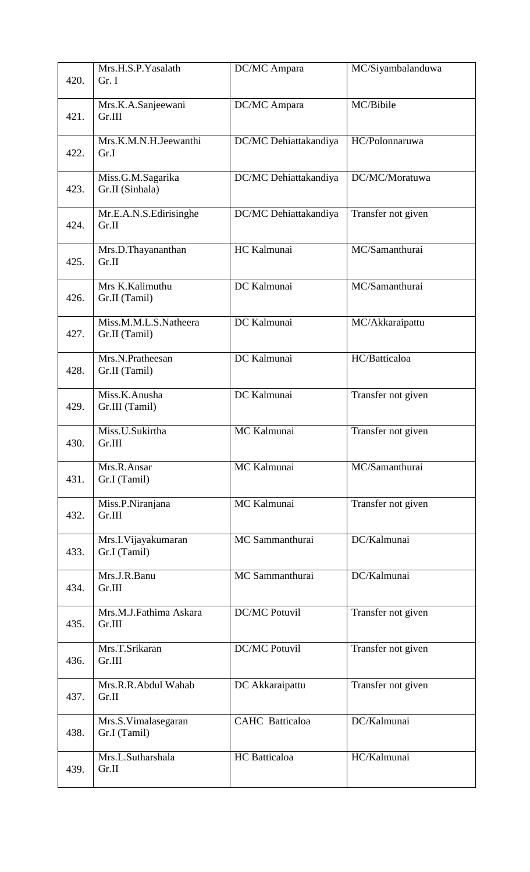| 420. | Mrs.H.S.P.Yasalath<br>Gr. I            | DC/MC Ampara           | MC/Siyambalanduwa  |
|------|----------------------------------------|------------------------|--------------------|
| 421. | Mrs.K.A.Sanjeewani<br>Gr.III           | DC/MC Ampara           | MC/Bibile          |
| 422. | Mrs.K.M.N.H.Jeewanthi<br>Gr.I          | DC/MC Dehiattakandiya  | HC/Polonnaruwa     |
| 423. | Miss.G.M.Sagarika<br>Gr.II (Sinhala)   | DC/MC Dehiattakandiya  | DC/MC/Moratuwa     |
| 424. | Mr.E.A.N.S.Edirisinghe<br>Gr.II        | DC/MC Dehiattakandiya  | Transfer not given |
| 425. | Mrs.D.Thayananthan<br>Gr.II            | HC Kalmunai            | MC/Samanthurai     |
| 426. | Mrs K.Kalimuthu<br>Gr.II (Tamil)       | DC Kalmunai            | MC/Samanthurai     |
| 427. | Miss.M.M.L.S.Natheera<br>Gr.II (Tamil) | DC Kalmunai            | MC/Akkaraipattu    |
| 428. | Mrs.N.Pratheesan<br>Gr.II (Tamil)      | DC Kalmunai            | HC/Batticaloa      |
| 429. | Miss.K.Anusha<br>Gr.III (Tamil)        | DC Kalmunai            | Transfer not given |
| 430. | Miss.U.Sukirtha<br>Gr.III              | MC Kalmunai            | Transfer not given |
| 431. | Mrs.R.Ansar<br>Gr.I (Tamil)            | MC Kalmunai            | MC/Samanthurai     |
| 432. | Miss.P.Niranjana<br>Gr.III             | MC Kalmunai            | Transfer not given |
| 433. | Mrs.I. Vijayakumaran<br>Gr.I (Tamil)   | MC Sammanthurai        | DC/Kalmunai        |
| 434. | Mrs.J.R.Banu<br>Gr.III                 | MC Sammanthurai        | DC/Kalmunai        |
| 435. | Mrs.M.J.Fathima Askara<br>Gr.III       | <b>DC/MC Potuvil</b>   | Transfer not given |
| 436. | Mrs.T.Srikaran<br>Gr.III               | <b>DC/MC Potuvil</b>   | Transfer not given |
| 437. | Mrs.R.R.Abdul Wahab<br>Gr.II           | DC Akkaraipattu        | Transfer not given |
| 438. | Mrs.S.Vimalasegaran<br>Gr.I (Tamil)    | <b>CAHC</b> Batticaloa | DC/Kalmunai        |
| 439. | Mrs.L.Sutharshala<br>Gr.II             | <b>HC</b> Batticaloa   | HC/Kalmunai        |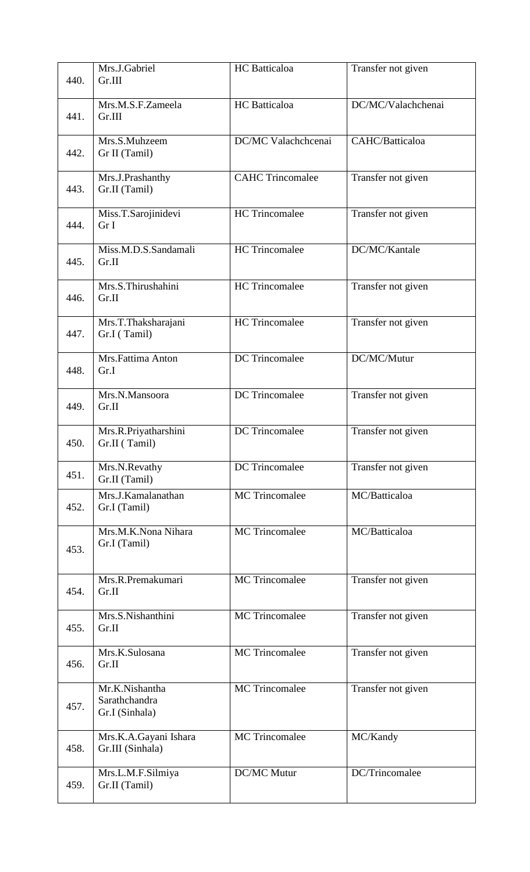| 440. | Mrs.J.Gabriel<br>Gr.III                           | <b>HC</b> Batticaloa    | Transfer not given |
|------|---------------------------------------------------|-------------------------|--------------------|
| 441. | Mrs.M.S.F.Zameela<br>Gr.III                       | <b>HC</b> Batticaloa    | DC/MC/Valachchenai |
| 442. | Mrs.S.Muhzeem<br>Gr II (Tamil)                    | DC/MC Valachchcenai     | CAHC/Batticaloa    |
| 443. | Mrs.J.Prashanthy<br>Gr.II (Tamil)                 | <b>CAHC</b> Trincomalee | Transfer not given |
| 444. | Miss.T.Sarojinidevi<br>Gr I                       | <b>HC</b> Trincomalee   | Transfer not given |
| 445. | Miss.M.D.S.Sandamali<br>Gr.II                     | HC Trincomalee          | DC/MC/Kantale      |
| 446. | Mrs.S.Thirushahini<br>Gr.II                       | <b>HC</b> Trincomalee   | Transfer not given |
| 447. | Mrs.T.Thaksharajani<br>Gr.I (Tamil)               | <b>HC</b> Trincomalee   | Transfer not given |
| 448. | Mrs.Fattima Anton<br>Gr.I                         | <b>DC</b> Trincomalee   | DC/MC/Mutur        |
| 449. | Mrs.N.Mansoora<br>Gr.II                           | <b>DC</b> Trincomalee   | Transfer not given |
| 450. | Mrs.R.Priyatharshini<br>Gr.II (Tamil)             | <b>DC</b> Trincomalee   | Transfer not given |
| 451. | Mrs.N.Revathy<br>Gr.II (Tamil)                    | <b>DC</b> Trincomalee   | Transfer not given |
| 452. | Mrs.J.Kamalanathan<br>Gr.I (Tamil)                | MC Trincomalee          | MC/Batticaloa      |
| 453. | Mrs.M.K.Nona Nihara<br>Gr.I (Tamil)               | <b>MC</b> Trincomalee   | MC/Batticaloa      |
| 454. | Mrs.R.Premakumari<br>Gr.II                        | <b>MC</b> Trincomalee   | Transfer not given |
| 455. | Mrs.S.Nishanthini<br>Gr.II                        | <b>MC</b> Trincomalee   | Transfer not given |
| 456. | Mrs.K.Sulosana<br>Gr.II                           | <b>MC</b> Trincomalee   | Transfer not given |
| 457. | Mr.K.Nishantha<br>Sarathchandra<br>Gr.I (Sinhala) | <b>MC</b> Trincomalee   | Transfer not given |
| 458. | Mrs.K.A.Gayani Ishara<br>Gr.III (Sinhala)         | <b>MC</b> Trincomalee   | MC/Kandy           |
| 459. | Mrs.L.M.F.Silmiya<br>Gr.II (Tamil)                | <b>DC/MC Mutur</b>      | DC/Trincomalee     |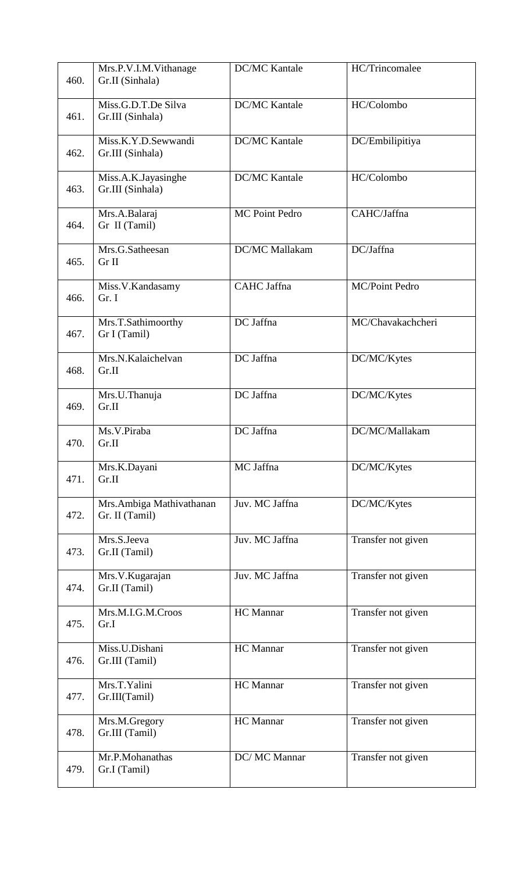| 460. | Mrs.P.V.I.M.Vithanage<br>Gr.II (Sinhala)   | <b>DC/MC Kantale</b>  | HC/Trincomalee        |
|------|--------------------------------------------|-----------------------|-----------------------|
| 461. | Miss.G.D.T.De Silva<br>Gr.III (Sinhala)    | <b>DC/MC Kantale</b>  | HC/Colombo            |
| 462. | Miss.K.Y.D.Sewwandi<br>Gr.III (Sinhala)    | <b>DC/MC Kantale</b>  | DC/Embilipitiya       |
| 463. | Miss.A.K.Jayasinghe<br>Gr.III (Sinhala)    | <b>DC/MC Kantale</b>  | HC/Colombo            |
| 464. | Mrs.A.Balaraj<br>Gr II (Tamil)             | <b>MC Point Pedro</b> | CAHC/Jaffna           |
| 465. | Mrs.G.Satheesan<br>Gr II                   | DC/MC Mallakam        | DC/Jaffna             |
| 466. | Miss.V.Kandasamy<br>Gr. I                  | CAHC Jaffna           | <b>MC/Point Pedro</b> |
| 467. | Mrs.T.Sathimoorthy<br>Gr I (Tamil)         | DC Jaffna             | MC/Chavakachcheri     |
| 468. | Mrs.N.Kalaichelvan<br>Gr.II                | DC Jaffna             | DC/MC/Kytes           |
| 469. | Mrs.U.Thanuja<br>Gr.II                     | DC Jaffna             | DC/MC/Kytes           |
| 470. | Ms.V.Piraba<br>Gr.II                       | DC Jaffna             | DC/MC/Mallakam        |
| 471. | Mrs.K.Dayani<br>Gr.II                      | MC Jaffna             | DC/MC/Kytes           |
| 472. | Mrs.Ambiga Mathivathanan<br>Gr. II (Tamil) | Juv. MC Jaffna        | DC/MC/Kytes           |
| 473. | Mrs.S.Jeeva<br>Gr.II (Tamil)               | Juv. MC Jaffna        | Transfer not given    |
| 474. | Mrs.V.Kugarajan<br>Gr.II (Tamil)           | Juv. MC Jaffna        | Transfer not given    |
| 475. | Mrs.M.I.G.M.Croos<br>Gr.I                  | HC Mannar             | Transfer not given    |
| 476. | Miss.U.Dishani<br>Gr.III (Tamil)           | <b>HC</b> Mannar      | Transfer not given    |
| 477. | Mrs.T.Yalini<br>Gr.III(Tamil)              | <b>HC</b> Mannar      | Transfer not given    |
| 478. | Mrs.M.Gregory<br>Gr.III (Tamil)            | <b>HC</b> Mannar      | Transfer not given    |
| 479. | Mr.P.Mohanathas<br>Gr.I (Tamil)            | DC/ MC Mannar         | Transfer not given    |